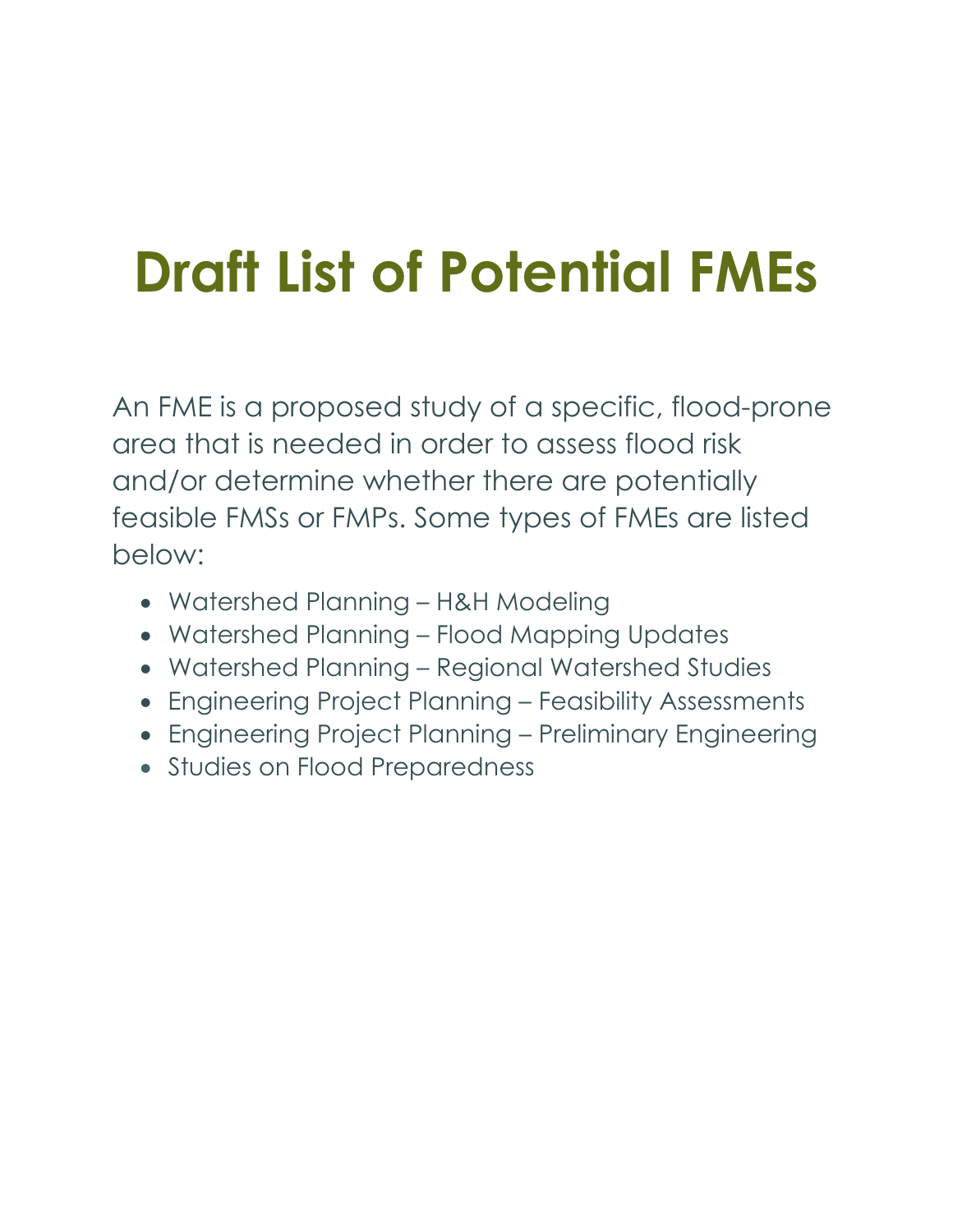# **Draft List of Potential FMEs**

An FME is a proposed study of a specific, flood-prone area that is needed in order to assess flood risk and/or determine whether there are potentially feasible FMSs or FMPs. Some types of FMEs are listed below:

- Watershed Planning H&H Modeling
- Watershed Planning Flood Mapping Updates
- Watershed Planning Regional Watershed Studies
- Engineering Project Planning Feasibility Assessments
- Engineering Project Planning Preliminary Engineering
- Studies on Flood Preparedness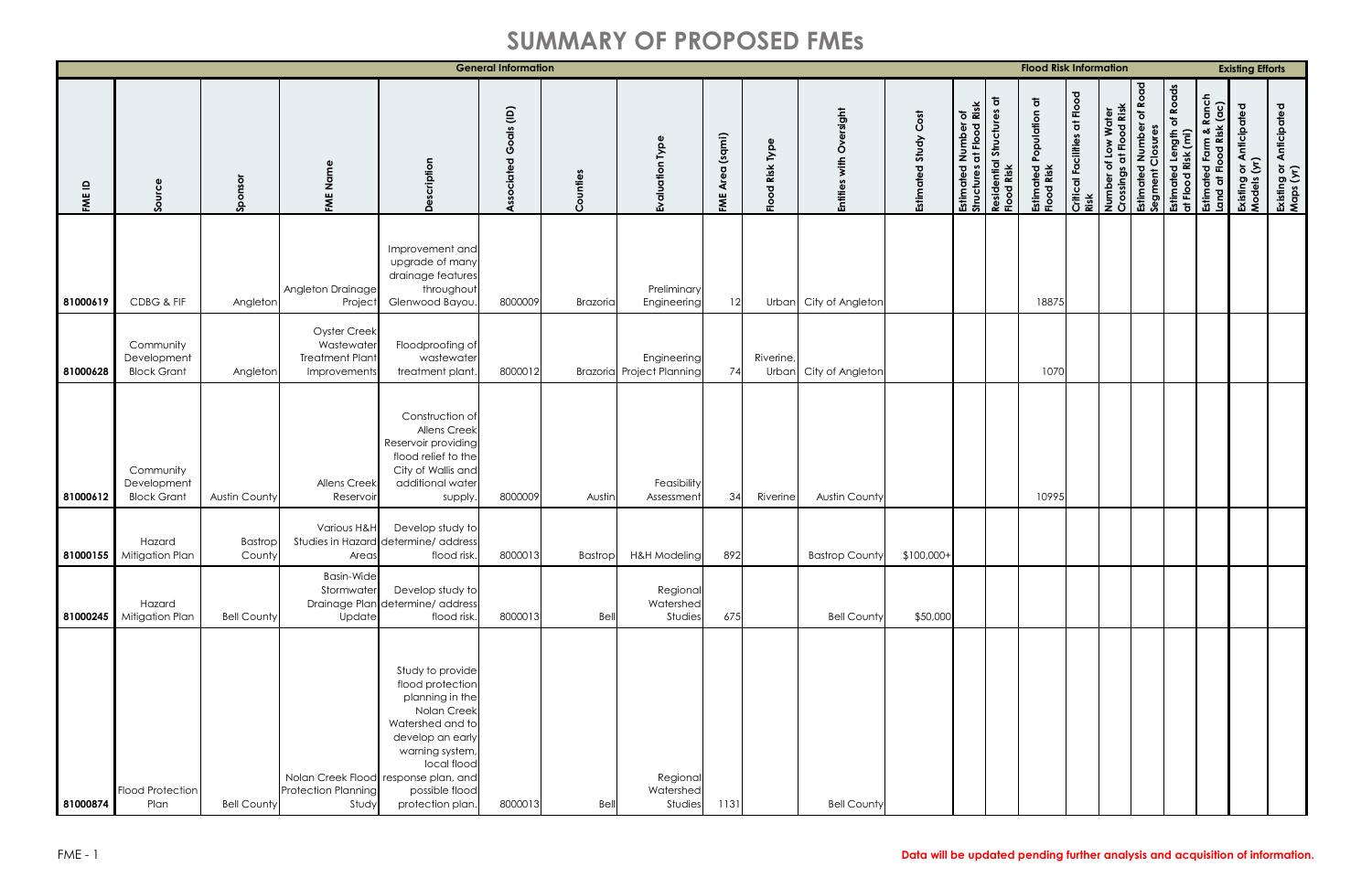|                     |                                                |                      |                                                                     |                                                                                                                                                                                                                                | <b>General Information</b>                                                            |                 |                                          |                      |                                                           |                                      |                        |                                                                            |                                                | <b>Flood Risk Information</b>            |                                      |                                                          |                                                        |                                                    |                                                                         | <b>Existing Efforts</b>                          |                                      |
|---------------------|------------------------------------------------|----------------------|---------------------------------------------------------------------|--------------------------------------------------------------------------------------------------------------------------------------------------------------------------------------------------------------------------------|---------------------------------------------------------------------------------------|-----------------|------------------------------------------|----------------------|-----------------------------------------------------------|--------------------------------------|------------------------|----------------------------------------------------------------------------|------------------------------------------------|------------------------------------------|--------------------------------------|----------------------------------------------------------|--------------------------------------------------------|----------------------------------------------------|-------------------------------------------------------------------------|--------------------------------------------------|--------------------------------------|
| $\mathbf{a}$<br>iME | ource                                          | Sponsor              | $\bar{z}$<br>WE<br>                                                 | criptic                                                                                                                                                                                                                        | $\widehat{\Xi}$<br>$\frac{16}{9}$<br>$\circ$<br>ပ<br>$\overline{\mathbf{c}}$<br>ciate | $\circ$         | <b>Typ</b><br>valuation                  | (sqmi)<br>Area<br>χĔ | Type<br>Risk<br>$\overline{8}$<br>$\overline{\mathbf{c}}$ | Oversight<br>with<br><b>Entities</b> | Cost<br>stimated Study | of<br>Risk<br>Flood<br>ഛ<br>$\overline{5}$<br>ত<br>Estimated<br>Structures | ㅎ<br>Structures<br>Residential !<br>Flood Risk | Population at<br>Estimated<br>Flood Risk | Critical Facilities at Flood<br>Risk | Water<br>od Risk<br>Number of Low \<br>Crossings at Floc | of Road<br>Number<br>do<br>O<br>Estimated<br>Segment C | of Roads<br>Estimated Length<br>at Flood Risk (mi) | Ranch<br>: (ac)<br>nated Farm & R<br>1 at Flood Risk (<br>Estim<br>Land | ı or Anticipated<br>; (yr)<br>Existing<br>Models | Existing or Anticipated<br>Maps (yr) |
| 81000619            | CDBG & FIF                                     | Angleton             | Angleton Drainage<br>Project                                        | Improvement and<br>upgrade of many<br>drainage features<br>throughout<br>Glenwood Bayou                                                                                                                                        | 8000009                                                                               | <b>Brazoria</b> | Preliminary<br>Engineering               | 12                   | Urban                                                     | City of Angleton                     |                        |                                                                            |                                                | 18875                                    |                                      |                                                          |                                                        |                                                    |                                                                         |                                                  |                                      |
| 81000628            | Community<br>Development<br><b>Block Grant</b> | Angleton             | <b>Oyster Creek</b><br>Wastewater<br>Treatment Plan<br>Improvement: | Floodproofing of<br>wastewater<br>treatment plant                                                                                                                                                                              | 8000012                                                                               |                 | Engineering<br>Brazoria Project Planning | 74                   | Riverine,<br>Urban                                        | City of Angleton                     |                        |                                                                            |                                                | <b>1070</b>                              |                                      |                                                          |                                                        |                                                    |                                                                         |                                                  |                                      |
| 81000612            | Community<br>Development<br><b>Block Grant</b> | <b>Austin County</b> | <b>Allens Creek</b><br>Reservoir                                    | Construction of<br>Allens Creek<br>Reservoir providing<br>flood relief to the<br>City of Wallis and<br>additional water<br>supply                                                                                              | 8000009                                                                               | Austin          | Feasibility<br>Assessment                | 34                   | Riverine                                                  | <b>Austin County</b>                 |                        |                                                                            |                                                | 10995                                    |                                      |                                                          |                                                        |                                                    |                                                                         |                                                  |                                      |
|                     | Hazard<br>81000155 Mitigation Plan             | Bastrop<br>County    | Various H&H<br>Studies in Hazard<br>Areas                           | Develop study to<br>determine/ address<br>flood risk.                                                                                                                                                                          | 8000013                                                                               | Bastrop         | <b>H&amp;H Modeling</b>                  | 892                  |                                                           | <b>Bastrop County</b>                | $$100,000+$            |                                                                            |                                                |                                          |                                      |                                                          |                                                        |                                                    |                                                                         |                                                  |                                      |
|                     | Hazard<br>81000245 Mitigation Plan             | <b>Bell County</b>   | <b>Basin-Wide</b><br>Stormwater<br>Update                           | Develop study to<br>Drainage Plan determine/ address<br>flood risk.                                                                                                                                                            | 8000013                                                                               | Bell            | Regional<br>Watershed<br>Studies         | 675                  |                                                           | <b>Bell County</b>                   | \$50,000               |                                                                            |                                                |                                          |                                      |                                                          |                                                        |                                                    |                                                                         |                                                  |                                      |
| 81000874            | Flood Protection<br>Plan                       | <b>Bell County</b>   | <b>Protection Planning</b><br>Study                                 | Study to provide<br>flood protection<br>planning in the<br>Nolan Creek<br>Watershed and to<br>develop an early<br>warning system,<br>local flood<br>Nolan Creek Flood response plan, and<br>possible flood<br>protection plan. | 8000013                                                                               | Bell            | Regional<br>Watershed<br>Studies         | 1131                 |                                                           | <b>Bell County</b>                   |                        |                                                                            |                                                |                                          |                                      |                                                          |                                                        |                                                    |                                                                         |                                                  |                                      |

#### FME - 1 **Data will be updated pending further analysis and acquisition of information.**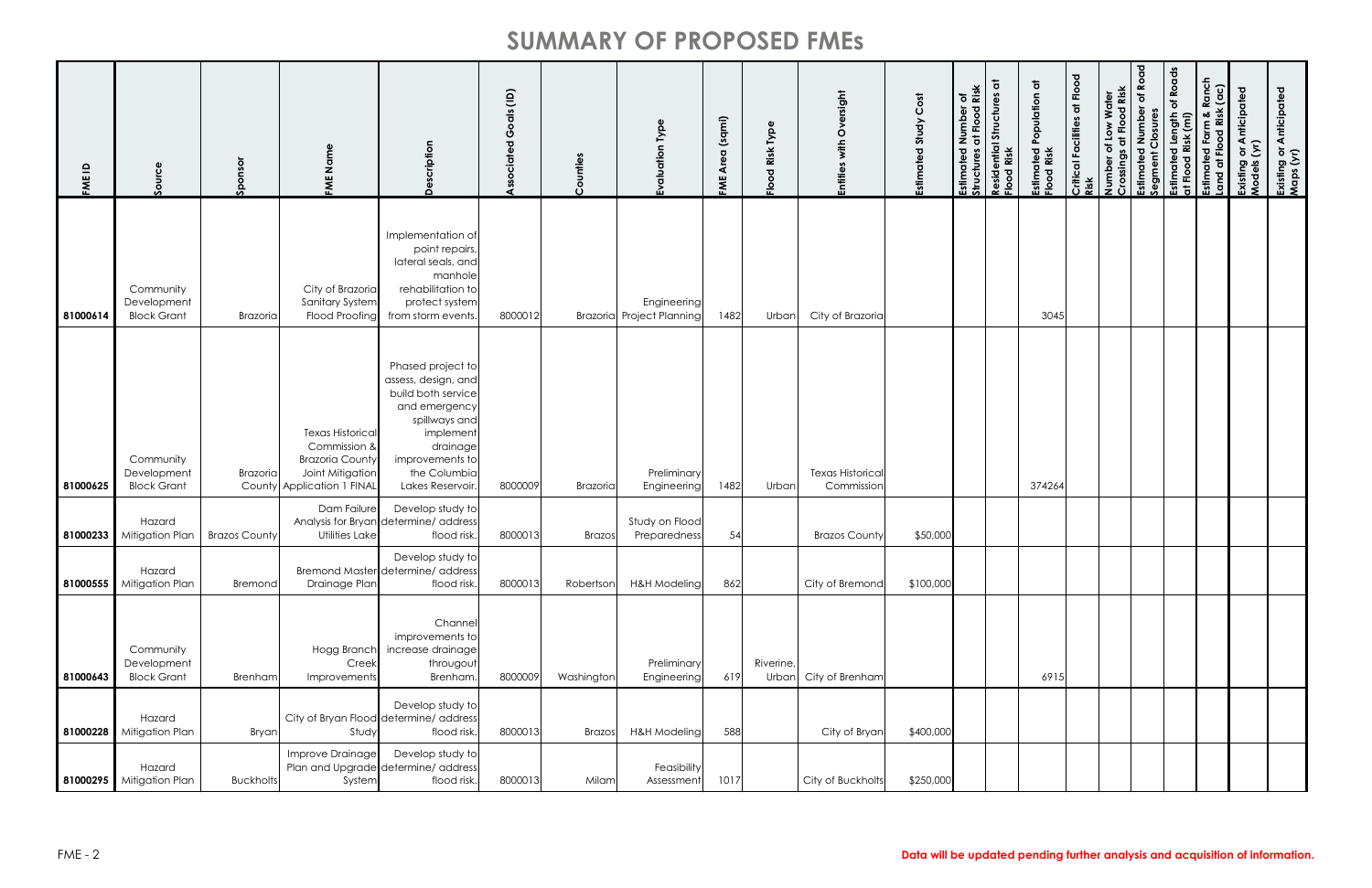| <b>FME ID</b> | Source                                         | Sponsor              | Name<br>FME                                                                                                         | cription<br>စိ<br>Ă                                                                                                                                                              | als (ID)<br>ပ<br>ciated | Countie         | Type<br>Evaluation                              | Area (sqmi)<br>FME | Type<br>Flood Risk | with Oversight<br>Entities            | Cost<br>Estimated Study | of<br>Risk<br>at Flood<br>Number<br>Estimated<br>Structures | ਰ<br>Residential Structures<br>Flood Risk | Estimated Population at<br>Flood Risk | Critical Facilities at Flood<br>Risk | Number of Low Water<br>Crossings at Flood Risk | of Road<br>Estimated Number<br>Segment Closures | of Roads<br>Estimated Length a<br>at Flood Risk (mi) | Ranch<br>(a <sub>c</sub> )<br>Estimated Farm & I<br>Land at Flood Risk | Existing or Anticipated<br>Models (yr) | Existing or Anticipated<br>Maps (yr) |
|---------------|------------------------------------------------|----------------------|---------------------------------------------------------------------------------------------------------------------|----------------------------------------------------------------------------------------------------------------------------------------------------------------------------------|-------------------------|-----------------|-------------------------------------------------|--------------------|--------------------|---------------------------------------|-------------------------|-------------------------------------------------------------|-------------------------------------------|---------------------------------------|--------------------------------------|------------------------------------------------|-------------------------------------------------|------------------------------------------------------|------------------------------------------------------------------------|----------------------------------------|--------------------------------------|
| 81000614      | Community<br>Development<br><b>Block Grant</b> | <b>Brazoria</b>      | City of Brazoria<br>Sanitary System<br><b>Flood Proofing</b>                                                        | Implementation of<br>point repairs,<br>lateral seals, and<br>manhole<br>rehabilitation to<br>protect system<br>from storm events                                                 | 8000012                 |                 | Engineering<br><b>Brazoria</b> Project Planning | 1482               | Urban              | City of Brazoria                      |                         |                                                             |                                           | 3045                                  |                                      |                                                |                                                 |                                                      |                                                                        |                                        |                                      |
| 81000625      | Community<br>Development<br><b>Block Grant</b> | <b>Brazoria</b>      | <b>Texas Historical</b><br>Commission &<br><b>Brazoria County</b><br>Joint Mitigation<br>County Application 1 FINAL | Phased project to<br>assess, design, and<br>build both service<br>and emergency<br>spillways and<br>implement<br>drainage<br>improvements to<br>the Columbia<br>Lakes Reservoir. | 8000009                 | <b>Brazoria</b> | Preliminary<br>Engineering                      | 1482               | Urban              | <b>Texas Historical</b><br>Commission |                         |                                                             |                                           | 374264                                |                                      |                                                |                                                 |                                                      |                                                                        |                                        |                                      |
|               | Hazard<br>81000233 Mitigation Plan             | <b>Brazos County</b> | Dam Failure<br><b>Utilities Lake</b>                                                                                | Develop study to<br>Analysis for Bryan determine/ address<br>flood risk.                                                                                                         | 8000013                 | <b>Brazos</b>   | Study on Flood<br>Preparedness                  | 54                 |                    | <b>Brazos County</b>                  | \$50,000                |                                                             |                                           |                                       |                                      |                                                |                                                 |                                                      |                                                                        |                                        |                                      |
|               | Hazard<br>81000555 Mitigation Plan             | Bremond              | Drainage Plan                                                                                                       | Develop study to<br>Bremond Master determine/ address<br>flood risk.                                                                                                             | 8000013                 | Robertson       | H&H Modeling                                    | 862                |                    | City of Bremond                       | \$100,000               |                                                             |                                           |                                       |                                      |                                                |                                                 |                                                      |                                                                        |                                        |                                      |
| 81000643      | Community<br>Development<br><b>Block Grant</b> | Brenham              | Hogg Branch<br>Creek<br>Improvements                                                                                | Channel<br>improvements to<br>increase drainage<br>througout<br>Brenham.                                                                                                         | 8000009                 | Washington      | Preliminary<br>Engineering                      | 619                | Riverine,<br>Urban | City of Brenham                       |                         |                                                             |                                           | 6915                                  |                                      |                                                |                                                 |                                                      |                                                                        |                                        |                                      |
| 81000228      | Hazard<br>Mitigation Plan                      | <b>Bryan</b>         | Study                                                                                                               | Develop study to<br>City of Bryan Flood determine/ address<br>flood risk.                                                                                                        | 8000013                 | <b>Brazos</b>   | H&H Modeling                                    | 588                |                    | City of Bryan                         | \$400,000               |                                                             |                                           |                                       |                                      |                                                |                                                 |                                                      |                                                                        |                                        |                                      |
|               | Hazard<br>81000295 Mitigation Plan             | <b>Buckholts</b>     | Improve Drainage<br>System                                                                                          | Develop study to<br>Plan and Upgrade determine/ address<br>flood risk.                                                                                                           | 8000013                 | Milam           | Feasibility<br>Assessment                       | 1017               |                    | City of Buckholts                     | \$250,000               |                                                             |                                           |                                       |                                      |                                                |                                                 |                                                      |                                                                        |                                        |                                      |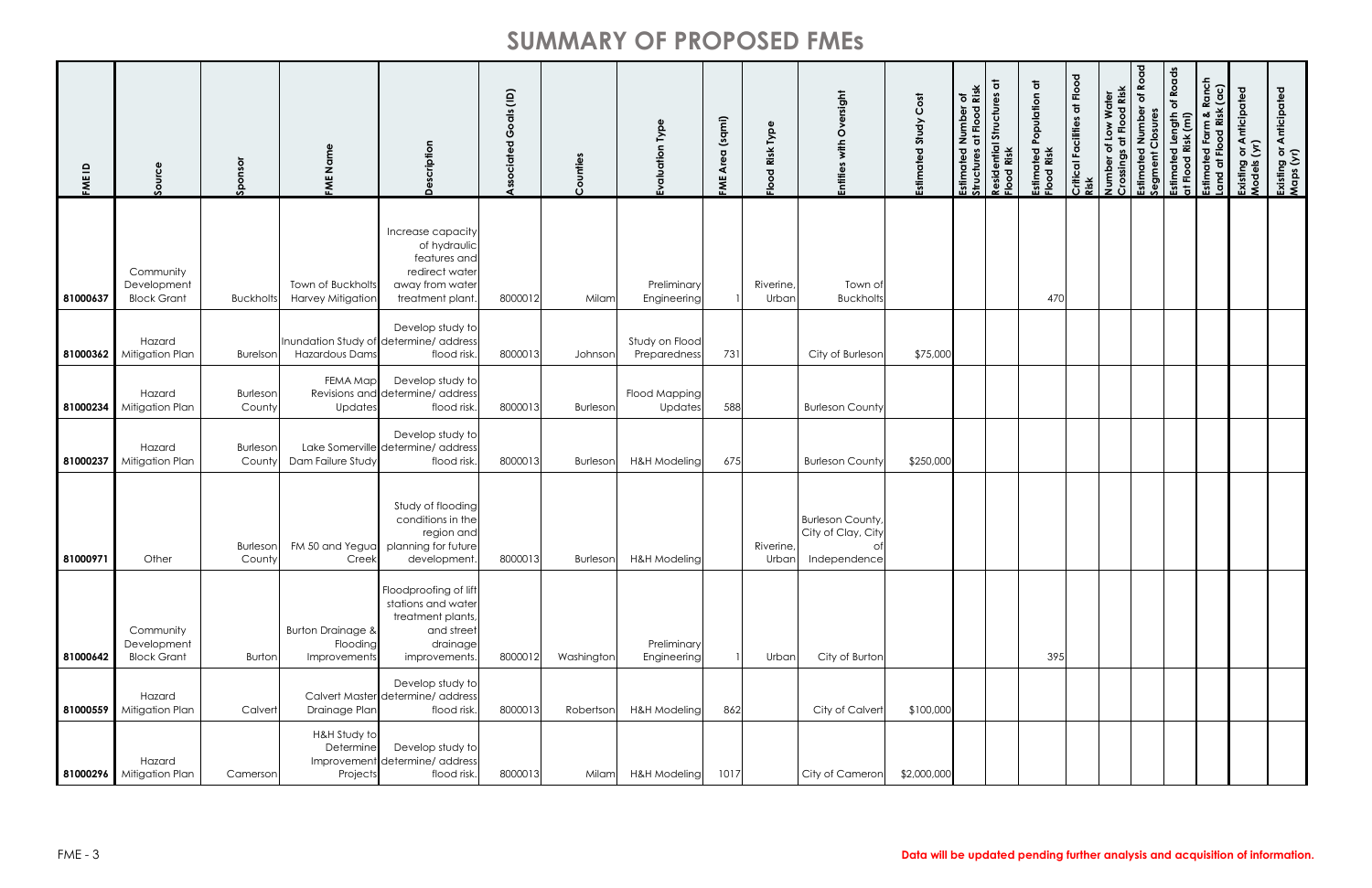| FME ID   | Source                                         | Sponsor                   | Nam<br>FME                                               | cription<br>$\Omega$                                                                                        | als (ID)<br>O<br><b>PO</b><br>ciat | ountie<br>$\mathbf{\Omega}$ | <b>PVP</b><br>Evaluation       | (sqmi)<br><b>Area</b><br>FME | Type<br>Risk<br>$\overline{8}$<br>$\frac{6}{5}$ | Oversight<br>with<br><b>Entities</b>                                     | Estimated Study Cost | of<br>Risk<br>Flood<br>ě<br>$\vec{z}$<br>ã<br>Estimated<br>Structures | ㅎ<br>Residential Structures<br>Flood Risk | Estimated Population at<br>Flood Risk | Critical Facilities at Flood<br>Risk | Number of Low Water<br>Crossings at Flood Risk<br>ssings<br>ႄ | of Road<br>d Number<br>Closures<br>Estimated I<br>Segment C | of Roads<br>Estimated Length o<br>at Flood Risk (mi) | Ranch<br>(a <sub>c</sub> )<br>Estimated Farm & F<br>Land at Flood Risk<br>Estimated | y or Anticipated<br>i (yr)<br>Existing<br>Models ( | Existing or Anticipated<br>Maps (yr) |
|----------|------------------------------------------------|---------------------------|----------------------------------------------------------|-------------------------------------------------------------------------------------------------------------|------------------------------------|-----------------------------|--------------------------------|------------------------------|-------------------------------------------------|--------------------------------------------------------------------------|----------------------|-----------------------------------------------------------------------|-------------------------------------------|---------------------------------------|--------------------------------------|---------------------------------------------------------------|-------------------------------------------------------------|------------------------------------------------------|-------------------------------------------------------------------------------------|----------------------------------------------------|--------------------------------------|
| 81000637 | Community<br>Development<br><b>Block Grant</b> | <b>Buckholts</b>          | Town of Buckholts<br><b>Harvey Mitigation</b>            | Increase capacity<br>of hydraulic<br>features and<br>redirect water<br>away from water<br>treatment plant   | 8000012                            | Milam                       | Preliminary<br>Engineering     |                              | Riverine,<br>Urban                              | Town of<br><b>Buckholts</b>                                              |                      |                                                                       |                                           | 47C                                   |                                      |                                                               |                                                             |                                                      |                                                                                     |                                                    |                                      |
|          | Hazard<br>81000362 Mitigation Plan             | <b>Burelson</b>           | Hazardous Dams                                           | Develop study to<br>Inundation Study of determine/ address<br>flood risk.                                   | 8000013                            | Johnson                     | Study on Flood<br>Preparedness | 731                          |                                                 | City of Burleson                                                         | \$75,000             |                                                                       |                                           |                                       |                                      |                                                               |                                                             |                                                      |                                                                                     |                                                    |                                      |
|          | Hazard<br>81000234 Mitigation Plan             | <b>Burleson</b><br>County | FEMA Map<br>Updates                                      | Develop study to<br>Revisions and determine/ address<br>flood risk.                                         | 8000013                            | <b>Burleson</b>             | Flood Mapping<br>Updates       | 588                          |                                                 | <b>Burleson County</b>                                                   |                      |                                                                       |                                           |                                       |                                      |                                                               |                                                             |                                                      |                                                                                     |                                                    |                                      |
|          | Hazard<br>81000237 Mitigation Plan             | Burleson<br>County        | Dam Failure Study                                        | Develop study to<br>Lake Somerville determine/ address<br>flood risk.                                       | 8000013                            | Burleson                    | H&H Modeling                   | 675                          |                                                 | <b>Burleson County</b>                                                   | \$250,000            |                                                                       |                                           |                                       |                                      |                                                               |                                                             |                                                      |                                                                                     |                                                    |                                      |
| 81000971 | Other                                          | <b>Burleson</b><br>County | FM 50 and Yegua<br>Creek                                 | Study of flooding<br>conditions in the<br>region and<br>planning for future<br>development.                 | 8000013                            | <b>Burleson</b>             | <b>H&amp;H Modeling</b>        |                              | Riverine,<br>Urban                              | <b>Burleson County,</b><br>City of Clay, City<br>$\circ$<br>Independence |                      |                                                                       |                                           |                                       |                                      |                                                               |                                                             |                                                      |                                                                                     |                                                    |                                      |
| 81000642 | Community<br>Development<br><b>Block Grant</b> | <b>Burton</b>             | <b>Burton Drainage &amp;</b><br>Flooding<br>Improvements | Floodproofing of lift<br>stations and water<br>treatment plants,<br>and street<br>drainage<br>improvements. | 8000012                            | Washington                  | Preliminary<br>Engineering     |                              | Urban                                           | City of Burton                                                           |                      |                                                                       |                                           | 395                                   |                                      |                                                               |                                                             |                                                      |                                                                                     |                                                    |                                      |
|          | Hazard<br>81000559 Mitigation Plan             | Calvert                   | Drainage Plan                                            | Develop study to<br>Calvert Master determine/ address<br>flood risk.                                        | 8000013                            | Robertson                   | <b>H&amp;H Modeling</b>        | 862                          |                                                 | City of Calvert                                                          | \$100,000            |                                                                       |                                           |                                       |                                      |                                                               |                                                             |                                                      |                                                                                     |                                                    |                                      |
|          | Hazard<br>81000296 Mitigation Plan             | Camerson                  | H&H Study to<br>Determine<br>Improvement<br>Projects     | Develop study to<br>determine/ address<br>flood risk.                                                       | 8000013                            | Milam                       | H&H Modeling                   | 1017                         |                                                 | City of Cameron                                                          | \$2,000,000          |                                                                       |                                           |                                       |                                      |                                                               |                                                             |                                                      |                                                                                     |                                                    |                                      |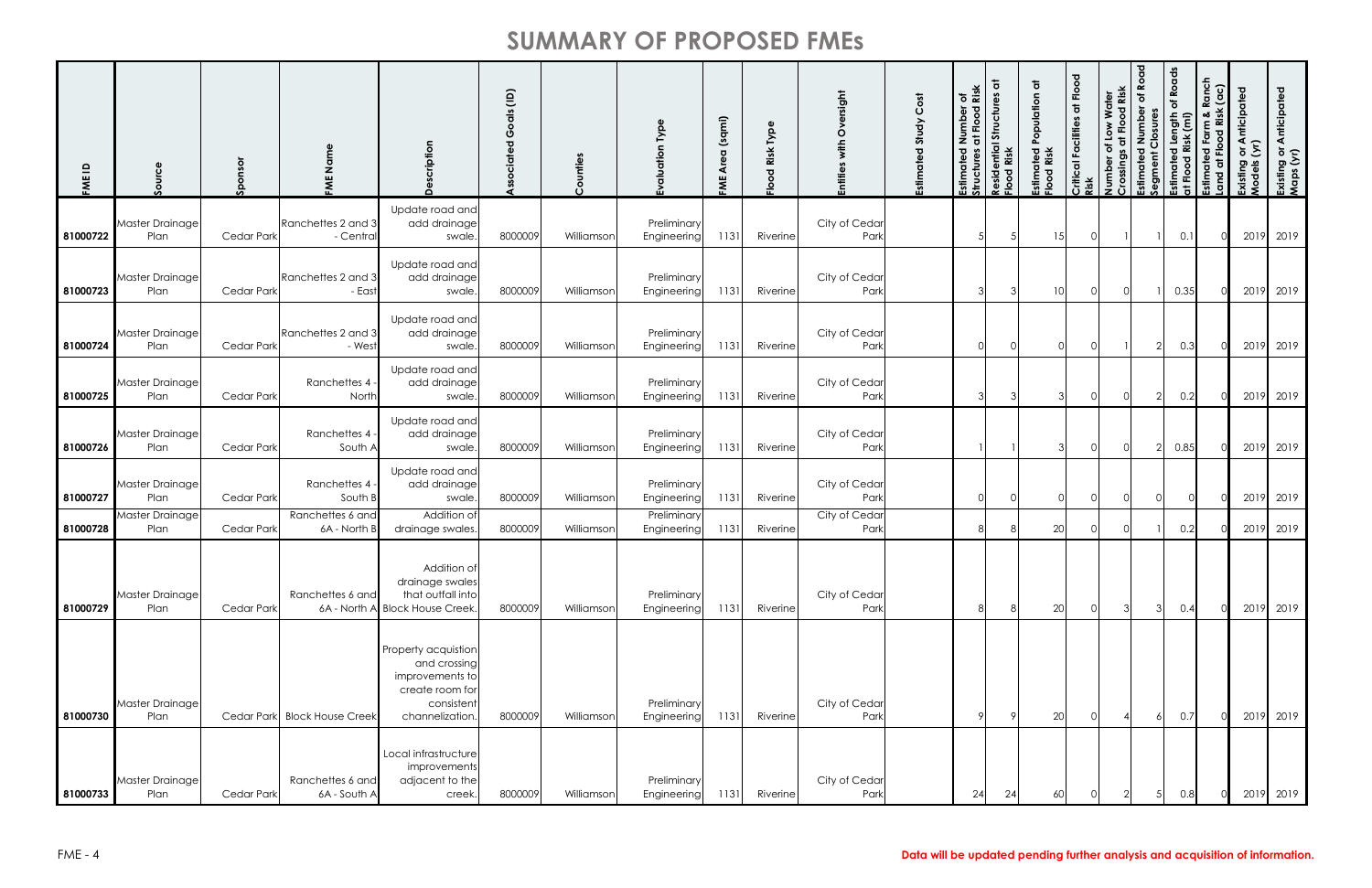| $\mathbf{a}$<br>FME | ပ္ပိ<br>$\overline{5}$<br>$\overline{\mathbf{o}}$ | Sponsor           | ш<br>₹                           | cription<br>≏                                                                                              | $\widehat{\Xi}$<br>oals<br>ပ<br>ciated | nties<br>$\overline{5}$<br>$\left($ 1 | <b>Evaluation Type</b>     | (sqmi)<br>$\sigma$<br>ই<br>FME | Risk Type<br>Flood | ersight<br>$\overline{\delta}$<br>with<br>Entiti | Cost<br>Study<br>Estimated | of<br>Risk<br><b>Imber</b><br>$\vec{z}$<br>Estimated<br>Structures<br>ictur | $\overline{\sigma}$<br>СŚ<br>Residential Structur<br>Flood Risk | Population at<br>Estimated<br>Flood Risk | <b>Critical Facilities at Flood</b><br>Risk | at Flood Risk<br>Water<br>of Low<br>Number of<br>Crossings | Estimated Number of Road<br>Segment Closures | of Roads<br>Estimated Length<br>Έĩ | Ranch<br>$\overline{a}$<br>Risk<br>ఱ<br>E<br>boo<br>Ear<br>ত<br>Œ,<br>Estimate<br>$\overline{\sigma}$<br>Land | or Anticipated<br>Existing or A<br>Models (yr) | Existing or Anticipated<br>Maps (yr) |
|---------------------|---------------------------------------------------|-------------------|----------------------------------|------------------------------------------------------------------------------------------------------------|----------------------------------------|---------------------------------------|----------------------------|--------------------------------|--------------------|--------------------------------------------------|----------------------------|-----------------------------------------------------------------------------|-----------------------------------------------------------------|------------------------------------------|---------------------------------------------|------------------------------------------------------------|----------------------------------------------|------------------------------------|---------------------------------------------------------------------------------------------------------------|------------------------------------------------|--------------------------------------|
| 81000722            | Master Drainage<br>Plan                           | Cedar Park        | Ranchettes 2 and 3<br>- Central  | Update road and<br>add drainage<br>swale.                                                                  | 8000009                                | Williamsor                            | Preliminary<br>Engineering | 1131                           | Riverine           | City of Cedar<br>Park                            |                            |                                                                             |                                                                 | 15                                       |                                             |                                                            |                                              | 0.1                                |                                                                                                               |                                                | 2019 2019                            |
| 81000723            | Master Drainage<br>Plan                           | <b>Cedar Park</b> | Ranchettes 2 and 3<br>- Eas      | Update road and<br>add drainage<br>swale.                                                                  | 8000009                                | Williamsor                            | Preliminary<br>Engineering | 1131                           | Riverine           | City of Cedar<br>Park                            |                            |                                                                             |                                                                 | 10                                       |                                             |                                                            |                                              | 0.35                               |                                                                                                               |                                                | 2019 2019                            |
| 81000724            | Master Drainage<br>Plan                           | Cedar Park        | Ranchettes 2 and 3<br>- West     | Update road and<br>add drainage<br>swale.                                                                  | 8000009                                | Williamsor                            | Preliminary<br>Engineering | 1131                           | Riverine           | City of Cedar<br>Park                            |                            |                                                                             |                                                                 |                                          |                                             |                                                            | $\overline{2}$                               | 0.3                                |                                                                                                               |                                                | 2019 2019                            |
| 81000725            | Master Drainage<br>Plan                           | <b>Cedar Park</b> | Ranchettes 4<br>North            | Update road and<br>add drainage<br>swale.                                                                  | 8000009                                | Williamson                            | Preliminary<br>Engineering | 1131                           | Riverine           | City of Cedar<br>Park                            |                            |                                                                             |                                                                 |                                          |                                             |                                                            | $\overline{2}$                               | 0.2                                |                                                                                                               |                                                | 2019 2019                            |
| 81000726            | Master Drainage<br>Plan                           | Cedar Park        | Ranchettes 4<br>South A          | Update road and<br>add drainage<br>swale.                                                                  | 8000009                                | Williamsor                            | Preliminary<br>Engineering | 1131                           | Riverine           | City of Cedar<br>Park                            |                            |                                                                             |                                                                 |                                          |                                             |                                                            | $\overline{2}$                               | 0.85                               |                                                                                                               |                                                | 2019 2019                            |
| 81000727            | Master Drainage<br>Plan                           | <b>Cedar Park</b> | Ranchettes 4<br>South B          | Update road and<br>add drainage<br>swale.                                                                  | 8000009                                | Williamson                            | Preliminary<br>Engineering | 1131                           | Riverine           | City of Cedar<br>Park                            |                            |                                                                             |                                                                 |                                          |                                             |                                                            | $\Omega$                                     |                                    |                                                                                                               |                                                | 2019 2019                            |
| 81000728            | Master Drainage<br>Plan                           | <b>Cedar Park</b> | Ranchettes 6 and<br>6A - North B | Addition of<br>drainage swales.                                                                            | 8000009                                | Williamson                            | Preliminary<br>Engineering | 1131                           | Riverine           | City of Cedar<br>Park                            |                            | <sup>8</sup>                                                                |                                                                 | 20                                       |                                             |                                                            |                                              | 0.2                                |                                                                                                               |                                                | 2019 2019                            |
| 81000729            | Master Drainage<br>Plan                           | <b>Cedar Park</b> | Ranchettes 6 and                 | Addition of<br>drainage swales<br>that outfall into<br>6A - North A Block House Creek                      | 8000009                                | Williamson                            | Preliminary<br>Engineering | 1131                           | Riverine           | City of Cedar<br>Park                            |                            |                                                                             |                                                                 | 20                                       |                                             |                                                            | $\mathbf{3}$                                 | 0.4                                |                                                                                                               |                                                | 2019 2019                            |
| 81000730            | Master Drainage<br>Plan                           |                   | Cedar Park Block House Creek     | Property acquistion<br>and crossing<br>improvements to<br>create room for<br>consistent<br>channelization. | 8000009                                | Williamson                            | Preliminary<br>Engineering | 1131                           | Riverine           | City of Cedar<br>Park                            |                            |                                                                             |                                                                 | 20                                       |                                             |                                                            | 6                                            | 0.7                                | $\cap$                                                                                                        |                                                | 2019 2019                            |
| 81000733            | Master Drainage<br>Plan                           | <b>Cedar Park</b> | Ranchettes 6 and<br>6A - South A | Local infrastructure<br>improvements<br>adjacent to the<br>creek.                                          | 8000009                                | Williamson                            | Preliminary<br>Engineering | 1131                           | Riverine           | City of Cedar<br>Park                            |                            | 24                                                                          | 24                                                              | 60                                       |                                             |                                                            | 5                                            | 0.8                                |                                                                                                               |                                                | 2019 2019                            |

#### FME - 4 **Data will be updated pending further analysis and acquisition of information.**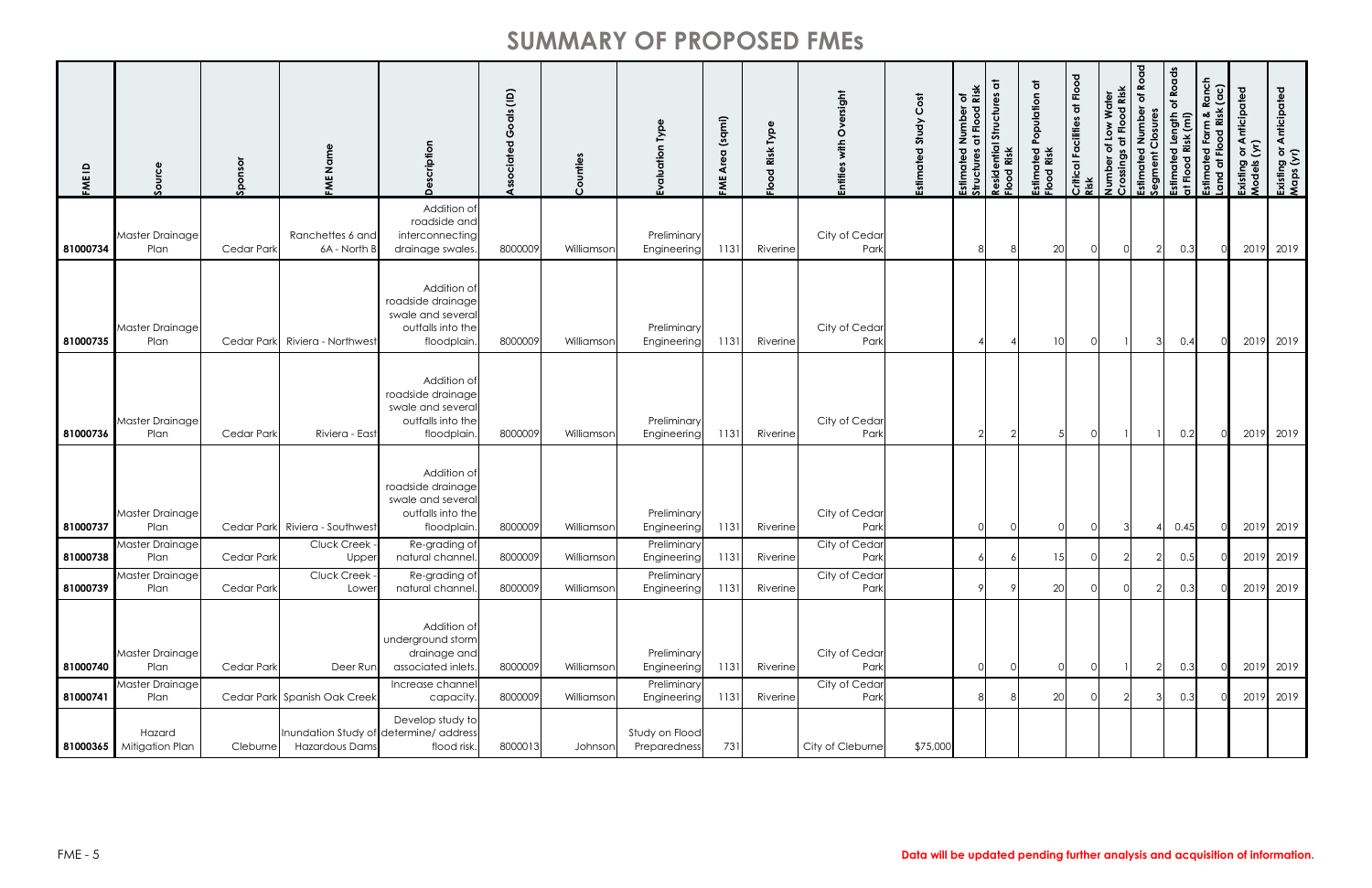| FME ID               | Source                                             | Sponsor    | Nam<br>FME                               | $\epsilon$<br>C                                                                                       | $\widehat{\Xi}$<br>$\frac{1}{9}$<br>ত<br>Ō | ŧ<br>$\overline{5}$      | Type<br>Evaluation                                       | (sqmi)<br>Area<br>WE | Type<br>Risk<br>$\overline{8}$<br>운 | ersight<br>ò<br>with<br><b>Entities</b>        | Cost<br>Study<br>stimated | of<br>Risk<br>at Flood<br>$\frac{8}{5}$<br>$\bar{z}$<br>Estimated<br>Structures | ㅎ<br>ဖိ<br>Residential Structur<br><b>Flood Risk</b> | Population at<br>Estimated<br>Flood Risk | Critical Facilities at Flood<br>Risk | Water<br>od Risk<br>운<br>Number of Low <b>\</b><br>Crossings at Fl <u>o</u> c | of Road<br>d Number<br>Closures<br>stimated<br>gment | of Roads<br>Estimated Length<br>at Flood Risk (mi) | Ranch<br>(ac)<br>ated Farm & R<br>  at Flood Risk (<br>Land<br>Estim | <b>j</b> or Anticipated<br>; (yr)<br>Existing<br>Models | Existing or Anticipated<br>Maps (yr) |
|----------------------|----------------------------------------------------|------------|------------------------------------------|-------------------------------------------------------------------------------------------------------|--------------------------------------------|--------------------------|----------------------------------------------------------|----------------------|-------------------------------------|------------------------------------------------|---------------------------|---------------------------------------------------------------------------------|------------------------------------------------------|------------------------------------------|--------------------------------------|-------------------------------------------------------------------------------|------------------------------------------------------|----------------------------------------------------|----------------------------------------------------------------------|---------------------------------------------------------|--------------------------------------|
| 81000734             | Master Drainage<br>Plan                            | Cedar Park | Ranchettes 6 and<br>6A - North I         | Addition of<br>roadside and<br>interconnecting<br>drainage swales.                                    | 8000009                                    | Williamson               | Preliminary<br><b>Engineering</b>                        | 1131                 | Riverine                            | City of Cedar<br>Park                          |                           |                                                                                 |                                                      | 20                                       |                                      |                                                                               |                                                      | 0.3                                                |                                                                      | 2019                                                    | 2019                                 |
| 81000735             | Master Drainage<br>Plan                            |            | Cedar Park Riviera - Northwest           | Addition of<br>roadside drainage<br>swale and several<br>outfalls into the<br>floodplain.             | 8000009                                    | Williamson               | Preliminary<br>Engineering                               | 1131                 | Riverine                            | City of Cedar<br>Park                          |                           |                                                                                 |                                                      | 0                                        | $\Omega$                             |                                                                               |                                                      | 0.4                                                |                                                                      | 2019                                                    | 2019                                 |
| 81000736             | Master Drainage<br>Plan                            | Cedar Park | Riviera - East                           | Addition of<br>roadside drainage<br>swale and several<br>outfalls into the<br>floodplain              | 8000009                                    | Williamson               | Preliminary<br>Engineering                               | 1131                 | Riverine                            | City of Cedar<br>Park                          |                           |                                                                                 |                                                      |                                          | $\Omega$                             |                                                                               |                                                      | 0.2                                                |                                                                      | 2019                                                    | 2019                                 |
| 81000737             | Master Drainage<br>Plan                            |            | Cedar Park Riviera - Southwest           | Addition of<br>roadside drainage<br>swale and several<br>outfalls into the<br>floodplain              | 8000009                                    | Williamson               | Preliminary<br>Engineering                               | 1131                 | Riverine                            | City of Cedar<br>Park                          |                           |                                                                                 |                                                      |                                          |                                      |                                                                               |                                                      | 0.45                                               |                                                                      | 2019                                                    | 2019                                 |
| 81000738             | Master Drainage<br>Plan                            | Cedar Park | Cluck Creek<br>Upper                     | Re-grading of<br>natural channel.                                                                     | 8000009                                    | Williamson               | Preliminary<br>Engineering                               | 1131                 | Riverine                            | City of Cedar<br>Park                          |                           |                                                                                 |                                                      | 15                                       |                                      |                                                                               |                                                      | 0.5                                                |                                                                      |                                                         | 2019 2019                            |
| 81000739             | Master Drainage<br>Plan                            | Cedar Park | <b>Cluck Creek</b><br>Lower              | Re-grading of<br>natural channel.                                                                     | 8000009                                    | Williamson               | Preliminary<br>Engineering                               | 1131                 | Riverine                            | City of Cedar<br>Park                          |                           |                                                                                 |                                                      | 20                                       |                                      |                                                                               |                                                      | 0.3                                                |                                                                      | 2019                                                    | 2019                                 |
| 81000740<br>81000741 | Master Drainage<br>Plan<br>Master Drainage<br>Plan | Cedar Park | Deer Run<br>Cedar Park Spanish Oak Creek | Addition of<br>underground storm<br>drainage and<br>associated inlets<br>Increase channel<br>capacity | 8000009<br>8000009                         | Williamson<br>Williamson | Preliminary<br>Engineering<br>Preliminary<br>Engineering | 1131<br>1131         | Riverine<br>Riverine                | City of Cedar<br>Park<br>City of Cedar<br>Park |                           |                                                                                 |                                                      | $\cap$<br>20                             |                                      |                                                                               |                                                      | 0.3<br>0.3                                         |                                                                      | 2019<br>2019                                            | 2019<br>2019                         |
|                      | Hazard<br>81000365 Mitigation Plan                 | Cleburne   | Hazardous Dams                           | Develop study to<br>Inundation Study of determine/ address<br>flood risk.                             | 8000013                                    | Johnson                  | Study on Flood<br>Preparedness                           | 731                  |                                     | City of Cleburne                               | \$75,000                  |                                                                                 |                                                      |                                          |                                      |                                                                               |                                                      |                                                    |                                                                      |                                                         |                                      |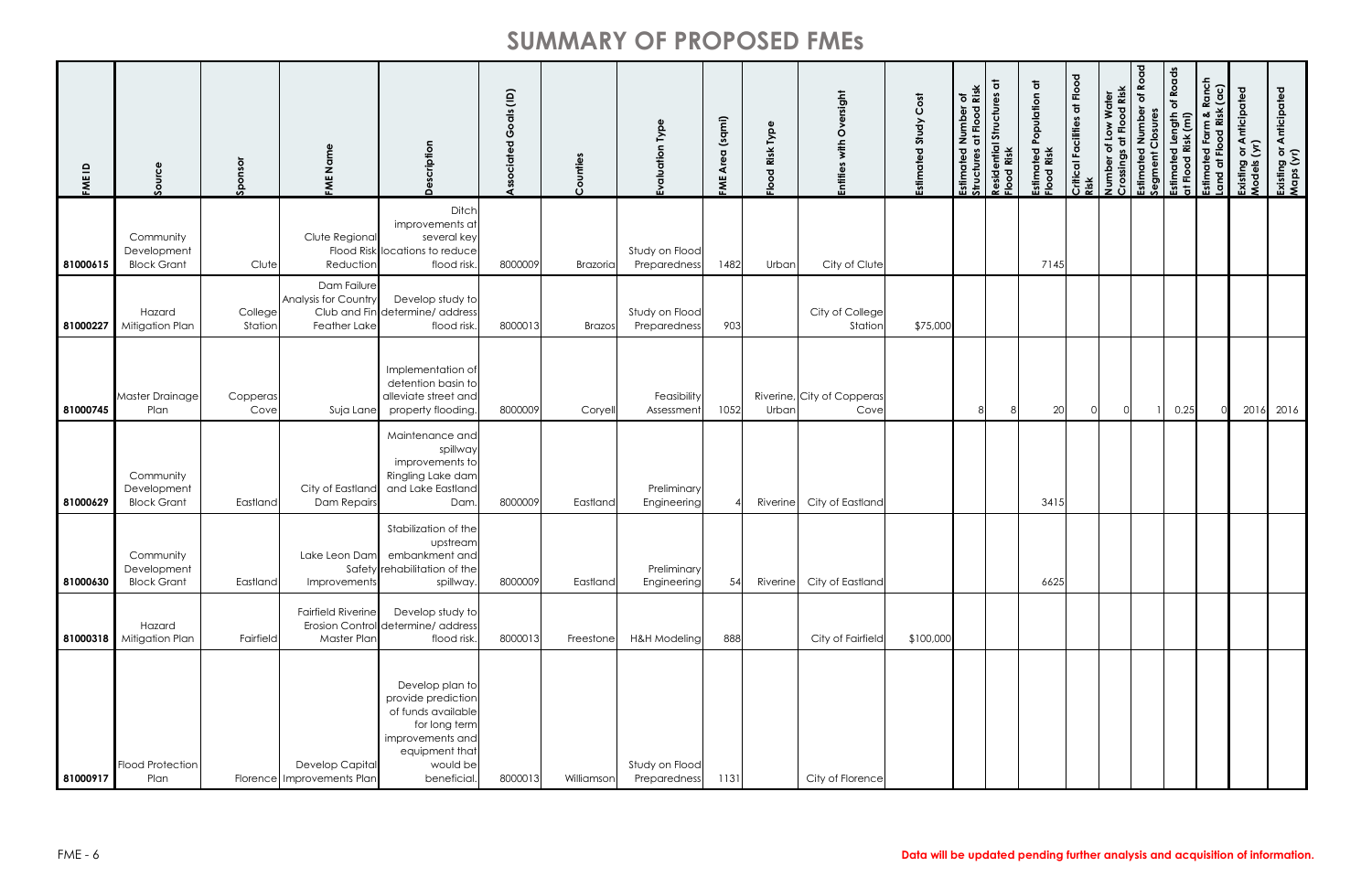| FME ID   | Source                                         | Sponsor            | ō<br>Ž<br>FME                                              | cription<br>$\Omega$                                                                                                                          | oals (ID)<br>Ŏ<br>ciated | intie<br>$\overline{5}$ | Type<br>Evaluation             | (sqmi)<br>Area<br>FME | Type<br>Risk<br>$\overline{8}$<br>$\circ$<br>匝 | Oversight<br>with<br><b>Entities</b> | Estimated Study Cost | of<br>Risk<br>Flood<br>Number<br>$\overline{a}$<br>Estimated<br>Structures | ㅎ<br>Residential Structures<br>Flood Risk | Population at<br>Estimated I<br>Flood Risk | Critical Facilities at Flood<br>Risk | Number of Low Water<br>Crossings at Flood Risk<br>ssings<br>$\overline{5}$ | Road<br>ð<br>Estimated Number of Segment Closures<br><b>山 あ</b> | Roads<br>৳<br>Estimated Length<br>at Flood Risk (mi) | Ranch<br>(a <sub>c</sub> )<br>Estimated Farm &  <br>Land at Flood Risk | Existing or Anticipated<br>Models (yr) | Existing or Anticipated<br>Maps (yr) |
|----------|------------------------------------------------|--------------------|------------------------------------------------------------|-----------------------------------------------------------------------------------------------------------------------------------------------|--------------------------|-------------------------|--------------------------------|-----------------------|------------------------------------------------|--------------------------------------|----------------------|----------------------------------------------------------------------------|-------------------------------------------|--------------------------------------------|--------------------------------------|----------------------------------------------------------------------------|-----------------------------------------------------------------|------------------------------------------------------|------------------------------------------------------------------------|----------------------------------------|--------------------------------------|
| 81000615 | Community<br>Development<br><b>Block Grant</b> | Clute              | Clute Regional<br><b>Flood Risk</b><br>Reduction           | Ditch<br>improvements at<br>several key<br>locations to reduce<br>flood risk.                                                                 | 8000009                  | Brazoria                | Study on Flood<br>Preparedness | 1482                  | Urban                                          | City of Clute                        |                      |                                                                            |                                           | 7145                                       |                                      |                                                                            |                                                                 |                                                      |                                                                        |                                        |                                      |
| 81000227 | Hazard<br>Mitigation Plan                      | College<br>Station | Dam Failure<br>Analysis for Country<br><b>Feather Lake</b> | Develop study to<br>Club and Fin determine/ address<br>flood risk.                                                                            | 8000013                  | <b>Brazos</b>           | Study on Flood<br>Preparedness | 903                   |                                                | City of College<br>Station           | \$75,000             |                                                                            |                                           |                                            |                                      |                                                                            |                                                                 |                                                      |                                                                        |                                        |                                      |
| 81000745 | Master Drainage<br>Plan                        | Copperas<br>Cove   | Suja Lane                                                  | Implementation of<br>detention basin to<br>alleviate street and<br>property flooding.                                                         | 8000009                  | Coryell                 | Feasibility<br>Assessment      | 1052                  | Urban                                          | Riverine, City of Copperas<br>Cove   |                      |                                                                            |                                           | 20                                         |                                      |                                                                            |                                                                 | 0.25                                                 |                                                                        | 2016                                   | 2016                                 |
| 81000629 | Community<br>Development<br><b>Block Grant</b> | Eastland           | City of Eastland<br>Dam Repairs                            | Maintenance and<br>spillway<br>improvements to<br>Ringling Lake dam<br>and Lake Eastland<br>Dam                                               | 8000009                  | Eastland                | Preliminary<br>Engineering     |                       | Riverine                                       | City of Eastland                     |                      |                                                                            |                                           | 3415                                       |                                      |                                                                            |                                                                 |                                                      |                                                                        |                                        |                                      |
| 81000630 | Community<br>Development<br><b>Block Grant</b> | Eastland           | Lake Leon Dam<br>Improvements                              | Stabilization of the<br>upstream<br>embankment and<br>Safety rehabilitation of the<br>spillway.                                               | 8000009                  | Eastland                | Preliminary<br>Engineering     | 54                    | Riverine                                       | City of Eastland                     |                      |                                                                            |                                           | 6625                                       |                                      |                                                                            |                                                                 |                                                      |                                                                        |                                        |                                      |
|          | Hazard<br>81000318 Mitigation Plan             | Fairfield          | <b>Fairfield Riverine</b><br>Master Plan                   | Develop study to<br>Erosion Control determine/ address<br>flood risk.                                                                         | 8000013                  | Freestone               | H&H Modeling                   | 888                   |                                                | City of Fairfield                    | \$100,000            |                                                                            |                                           |                                            |                                      |                                                                            |                                                                 |                                                      |                                                                        |                                        |                                      |
| 81000917 | Flood Protection<br>Plan                       |                    | <b>Develop Capital</b><br>Florence Improvements Plar       | Develop plan to<br>provide prediction<br>of funds available<br>for long term<br>improvements and<br>equipment that<br>would be<br>beneficial. | 8000013                  | Williamson              | Study on Flood<br>Preparedness | 1131                  |                                                | City of Florence                     |                      |                                                                            |                                           |                                            |                                      |                                                                            |                                                                 |                                                      |                                                                        |                                        |                                      |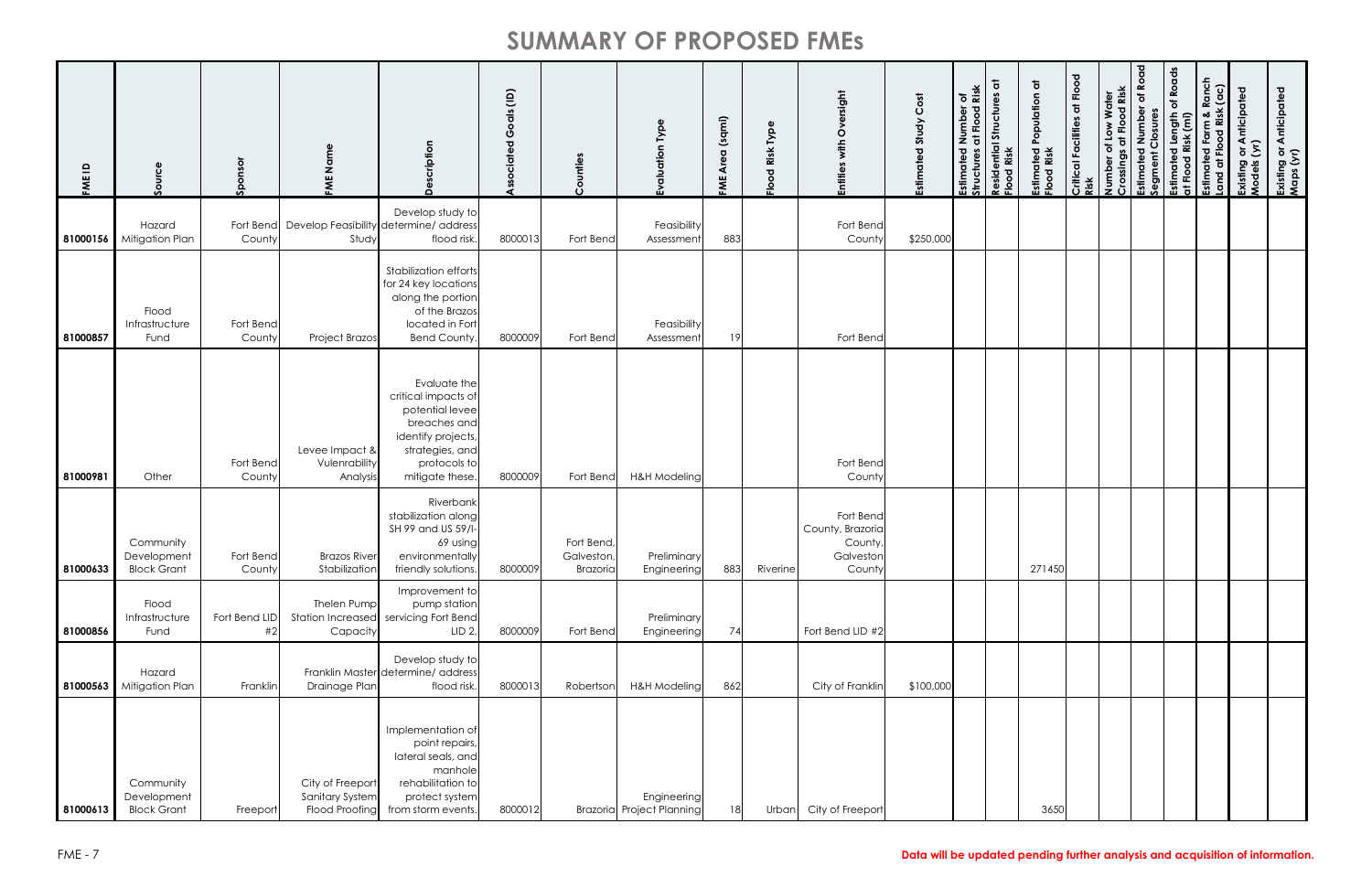| FME ID   | Source                                         | Sponsor             | Name<br>FME                                                  | escription<br>$\Omega$                                                                                                                             | $\begin{array}{c} \widehat{\Xi} \end{array}$<br>$\frac{5}{6}$<br>$\circ$<br>ပ<br>$\overline{\mathbf{c}}$<br>ciate | Counties                             | Type<br>Evaluation                              | Area (sqmi)<br>FME | Type<br>Risk<br>$\overline{8}$<br>운 | Oversight<br>with<br><b>Entities</b>                            | Cost<br>Estimated Study | of<br>Risk<br>at Flood<br>$\overline{\omega}$<br>$\Omega$<br>$\vec{z}$<br>Estimated<br>Structures | $\overline{\sigma}$<br>Residential Structures<br>Flood Risk | Estimated Population at<br>Flood Risk | Critical Facilities at Flood<br>Risk | Number of Low Water<br>Crossings at Flood Risk | Estimated Number of Road<br>Segment Closures | of Roads<br>Estimated Length o<br>at Flood Risk (mi) | Ranch<br>(ac)<br>Estimated Farm & R<br>Land at Flood Risk ( | Existing or Anticipated<br>Models (yr) | Existing or Anticipated<br>Maps (yr) |
|----------|------------------------------------------------|---------------------|--------------------------------------------------------------|----------------------------------------------------------------------------------------------------------------------------------------------------|-------------------------------------------------------------------------------------------------------------------|--------------------------------------|-------------------------------------------------|--------------------|-------------------------------------|-----------------------------------------------------------------|-------------------------|---------------------------------------------------------------------------------------------------|-------------------------------------------------------------|---------------------------------------|--------------------------------------|------------------------------------------------|----------------------------------------------|------------------------------------------------------|-------------------------------------------------------------|----------------------------------------|--------------------------------------|
|          | Hazard<br>81000156 Mitigation Plan             | County              | Study                                                        | Develop study to<br>Fort Bend Develop Feasibility determine/address<br>flood risk.                                                                 | 8000013                                                                                                           | Fort Bend                            | Feasibility<br>Assessment                       | 883                |                                     | Fort Bend<br>County                                             | \$250,000               |                                                                                                   |                                                             |                                       |                                      |                                                |                                              |                                                      |                                                             |                                        |                                      |
| 81000857 | Flood<br>Infrastructure<br>Fund                | Fort Bend<br>County | <b>Project Brazos</b>                                        | Stabilization efforts<br>for 24 key locations<br>along the portion<br>of the Brazos<br>located in Fort<br>Bend County.                             | 8000009                                                                                                           | Fort Bend                            | Feasibility<br>Assessmen                        | 19                 |                                     | Fort Bend                                                       |                         |                                                                                                   |                                                             |                                       |                                      |                                                |                                              |                                                      |                                                             |                                        |                                      |
| 81000981 | Other                                          | Fort Bend<br>County | Levee Impact &<br>Vulenrability<br>Analysis                  | Evaluate the<br>critical impacts of<br>potential levee<br>breaches and<br>identify projects,<br>strategies, and<br>protocols to<br>mitigate these. | 8000009                                                                                                           | Fort Bend                            | <b>H&amp;H Modeling</b>                         |                    |                                     | Fort Bend<br>County                                             |                         |                                                                                                   |                                                             |                                       |                                      |                                                |                                              |                                                      |                                                             |                                        |                                      |
| 81000633 | Community<br>Development<br><b>Block Grant</b> | Fort Bend<br>County | <b>Brazos River</b><br>Stabilization                         | Riverbank<br>stabilization along<br>SH 99 and US 59/I-<br>69 using<br>environmentally<br>friendly solutions.                                       | 8000009                                                                                                           | Fort Bend,<br>Galveston,<br>Brazoria | Preliminary<br>Engineering                      | 883                | Riverine                            | Fort Bend<br>County, Brazoria<br>County,<br>Galveston<br>County |                         |                                                                                                   |                                                             | 271450                                |                                      |                                                |                                              |                                                      |                                                             |                                        |                                      |
| 81000856 | Flood<br>Infrastructure<br>Fund                | Fort Bend LID<br>#2 | Thelen Pump<br><b>Station Increased</b><br>Capacity          | Improvement to<br>pump station<br>servicing Fort Bend<br>LID 2.                                                                                    | 8000009                                                                                                           | Fort Bend                            | Preliminary<br>Engineering                      | 74                 |                                     | Fort Bend LID #2                                                |                         |                                                                                                   |                                                             |                                       |                                      |                                                |                                              |                                                      |                                                             |                                        |                                      |
|          | Hazard<br>81000563 Mitigation Plan             | Franklin            | Drainage Plan                                                | Develop study to<br>Franklin Master determine/ address<br>flood risk.                                                                              | 8000013                                                                                                           | Robertson                            | <b>H&amp;H Modeling</b>                         | 862                |                                     | City of Franklin                                                | \$100,000               |                                                                                                   |                                                             |                                       |                                      |                                                |                                              |                                                      |                                                             |                                        |                                      |
| 81000613 | Community<br>Development<br><b>Block Grant</b> | Freeport            | City of Freeport<br>Sanitary System<br><b>Flood Proofing</b> | Implementation of<br>point repairs,<br>lateral seals, and<br>manhole<br>rehabilitation to<br>protect system<br>from storm events.                  | 8000012                                                                                                           |                                      | Engineering<br><b>Brazoria</b> Project Planning | 18                 | Urban                               | City of Freeport                                                |                         |                                                                                                   |                                                             | 3650                                  |                                      |                                                |                                              |                                                      |                                                             |                                        |                                      |

#### FME - 7 **Data will be updated pending further analysis and acquisition of information.**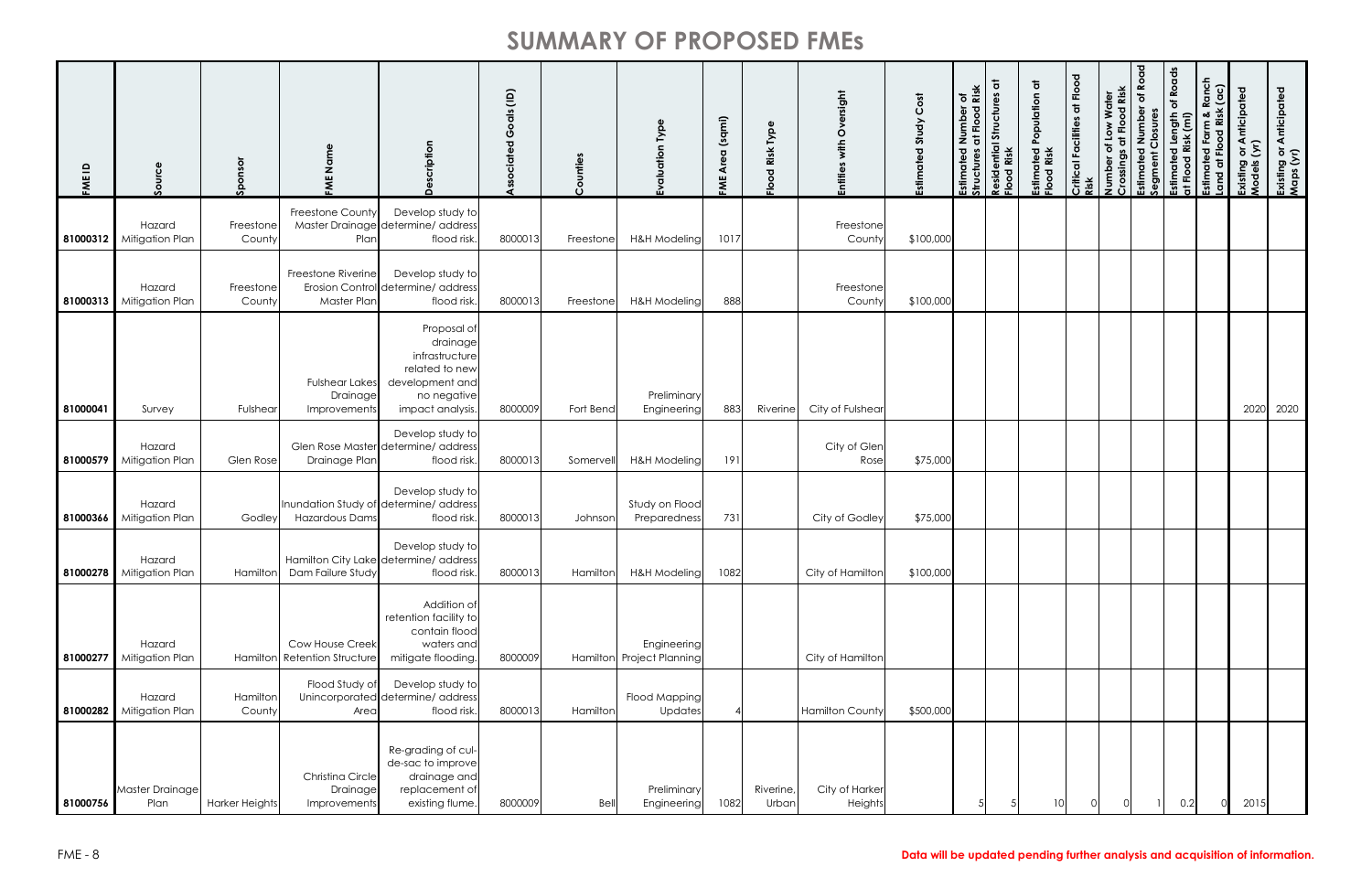| $\mathbf{a}$<br>FME | Source                             | Sponsor               | Name<br>FME                                       | cription<br>Ö٥<br>≏                                                                                               | $\widehat{e}$<br>ď<br>o<br>O<br>$\overline{a}$ | ounti<br>$\mathbf{r}$ | Type<br>Evaluation                       | Area (sqmi)<br>FME | Type<br>Risk<br>$\overline{8}$<br>$\circ$ | ersight<br>$\check{\delta}$<br>with<br><b>Entities</b> | Cost<br>Estimated Study | Number of<br>at Flood Risk<br>$\vec{z}$<br>ated<br>Estimated<br>Structures | ㅎ<br><b>Structures</b><br>Residential S<br>Flood Risk | Population at<br>Estimated I<br>Flood Risk | Critical Facilities at Flood<br>Risk | Number of Low Water<br>Crossings at Flood Risk | Road<br>$\overline{\mathbf{o}}$<br>Estimated Number c<br>Segment Closures | of Roads<br>Estimated Length a<br>at Flood Risk (mi) | Ranch<br>(ac)<br>Estimated Farm & R<br>Land at Flood Risk ( | ) or Anticipated<br>; (yr)<br>Existing<br>Models ( | Existing or Anticipated<br>Maps (yr) |
|---------------------|------------------------------------|-----------------------|---------------------------------------------------|-------------------------------------------------------------------------------------------------------------------|------------------------------------------------|-----------------------|------------------------------------------|--------------------|-------------------------------------------|--------------------------------------------------------|-------------------------|----------------------------------------------------------------------------|-------------------------------------------------------|--------------------------------------------|--------------------------------------|------------------------------------------------|---------------------------------------------------------------------------|------------------------------------------------------|-------------------------------------------------------------|----------------------------------------------------|--------------------------------------|
|                     | Hazard<br>81000312 Mitigation Plan | Freestone<br>County   | Freestone County<br>Plan                          | Develop study to<br>Master Drainage determine/ address<br>flood risk.                                             | 8000013                                        | Freestone             | <b>H&amp;H Modeling</b>                  | 1017               |                                           | Freestone<br>County                                    | \$100,000               |                                                                            |                                                       |                                            |                                      |                                                |                                                                           |                                                      |                                                             |                                                    |                                      |
|                     | Hazard<br>81000313 Mitigation Plan | Freestone<br>County   | Freestone Riverine<br>Master Plan                 | Develop study to<br>Erosion Control determine/ address<br>flood risk.                                             | 8000013                                        | Freestone             | <b>H&amp;H Modeling</b>                  | 888                |                                           | Freestone<br>County                                    | \$100,000               |                                                                            |                                                       |                                            |                                      |                                                |                                                                           |                                                      |                                                             |                                                    |                                      |
| 81000041            | Survey                             | Fulshear              | <b>Fulshear Lakes</b><br>Drainage<br>Improvements | Proposal of<br>drainage<br>infrastructure<br>related to new<br>development and<br>no negative<br>impact analysis. | 8000009                                        | Fort Bend             | Preliminary<br>Engineering               | 883                | Riverine                                  | City of Fulshear                                       |                         |                                                                            |                                                       |                                            |                                      |                                                |                                                                           |                                                      |                                                             | 2020                                               | 2020                                 |
|                     | Hazard<br>81000579 Mitigation Plan | Glen Rose             | Drainage Plan                                     | Develop study to<br>Glen Rose Master determine/ address<br>flood risk.                                            | 8000013                                        | Somervell             | <b>H&amp;H Modeling</b>                  | 191                |                                           | City of Glen<br>Rose                                   | \$75,000                |                                                                            |                                                       |                                            |                                      |                                                |                                                                           |                                                      |                                                             |                                                    |                                      |
| 81000366            | Hazard<br>Mitigation Plan          | Godley                | Hazardous Dams                                    | Develop study to<br>Inundation Study of determine/ address<br>flood risk.                                         | 8000013                                        | Johnson               | Study on Flood<br>Preparedness           | 731                |                                           | City of Godley                                         | \$75,000                |                                                                            |                                                       |                                            |                                      |                                                |                                                                           |                                                      |                                                             |                                                    |                                      |
|                     | Hazard<br>81000278 Mitigation Plan | Hamilton              | Dam Failure Study                                 | Develop study to<br>Hamilton City Lake determine/ address<br>flood risk.                                          | 8000013                                        | Hamilton              | <b>H&amp;H Modeling</b>                  | 1082               |                                           | City of Hamilton                                       | \$100,000               |                                                                            |                                                       |                                            |                                      |                                                |                                                                           |                                                      |                                                             |                                                    |                                      |
|                     | Hazard<br>81000277 Mitigation Plan |                       | Cow House Creek<br>Hamilton Retention Structure   | Addition of<br>retention facility to<br>contain flood<br>waters and<br>mitigate flooding.                         | 8000009                                        |                       | Engineering<br>Hamilton Project Planning |                    |                                           | City of Hamilton                                       |                         |                                                                            |                                                       |                                            |                                      |                                                |                                                                           |                                                      |                                                             |                                                    |                                      |
|                     | Hazard<br>81000282 Mitigation Plan | Hamilton<br>County    | Flood Study of<br>Area                            | Develop study to<br>Unincorporated determine/ address<br>flood risk.                                              | 8000013                                        | Hamilton              | Flood Mapping<br><b>Updates</b>          |                    |                                           | <b>Hamilton County</b>                                 | \$500,000               |                                                                            |                                                       |                                            |                                      |                                                |                                                                           |                                                      |                                                             |                                                    |                                      |
| 81000756            | Master Drainage<br>Plan            | <b>Harker Heights</b> | Christina Circle<br>Drainage<br>Improvements      | Re-grading of cul-<br>de-sac to improve<br>drainage and<br>replacement of<br>existing flume.                      | 8000009                                        | Bell                  | Preliminary<br>Engineering               | 1082               | Riverine,<br>Urban                        | City of Harker<br><b>Heights</b>                       |                         |                                                                            |                                                       | 10                                         |                                      |                                                |                                                                           | 0.2                                                  |                                                             | 2015                                               |                                      |

#### FME - 8 **Data will be updated pending further analysis and acquisition of information.**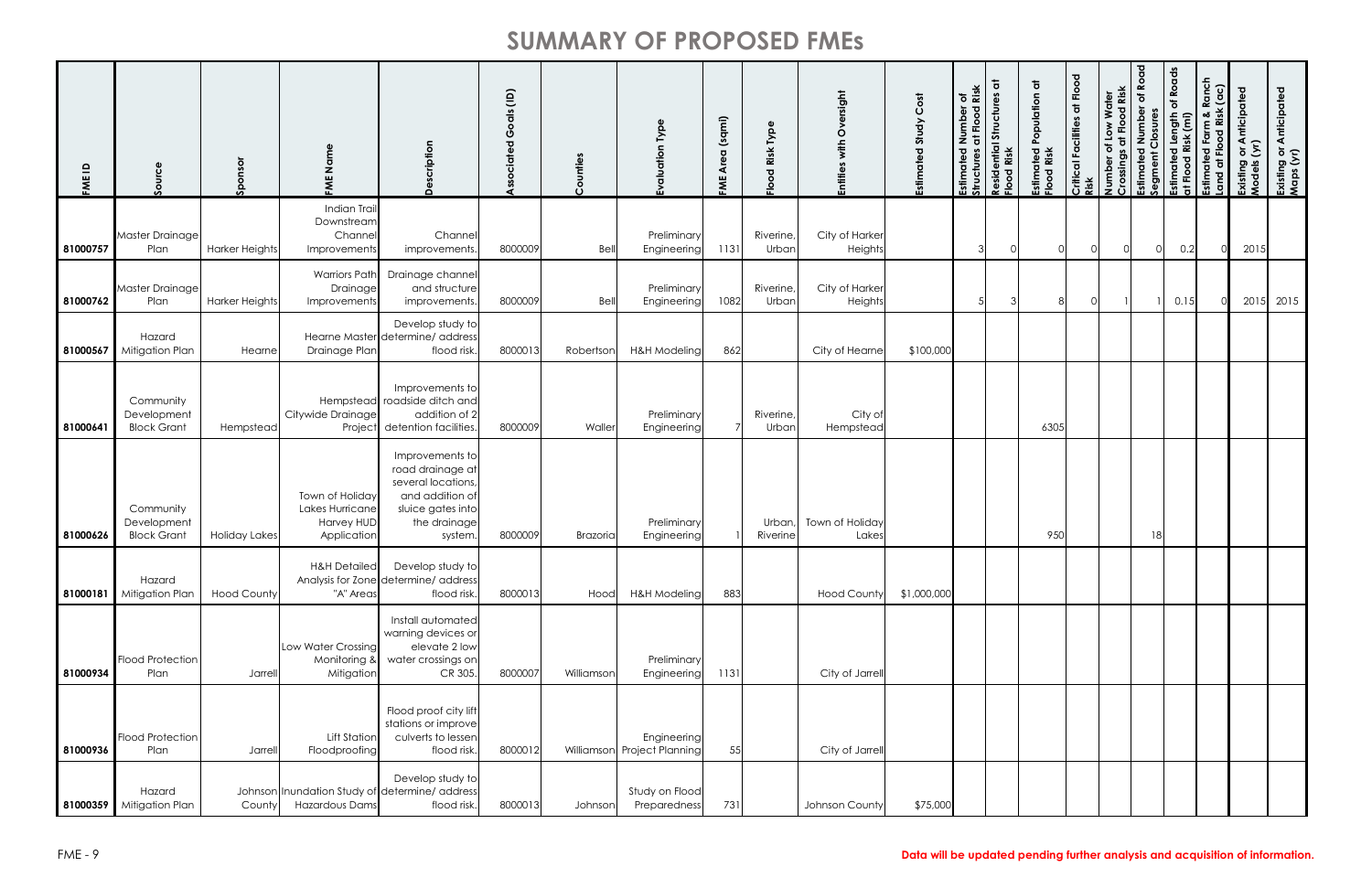| <b>FME ID</b> | Source                                         | Sponsor        | Name<br>FME                                                            | cription<br>စိ<br>◠                                                                                                         | $\widehat{\Xi}$<br>$\frac{2}{9}$<br>C<br>$\overline{\mathbf{o}}$ | $\overline{\mathbf{o}}$<br>$\mathbf{r}$ | <b>PVP</b><br>Evaluation                   | (sqmi)<br>Area<br>FME | Type<br>Risk<br>g<br>$\circ$<br>ᇎ | Oversight<br>with<br>Entities | Cost<br>Estimated Study | of<br>Risk<br>mber<br>Flood<br>$\bar{z}$<br>$\overline{a}$<br>ated<br>Estimated<br>Structures | ਰ<br>Residential Structures<br>Flood Risk | Population at<br>Estimated<br>Flood Risk | Critical Facilities at Flood<br>Risk | Water<br>od Risk<br>Elo<br>Low<br>$\overline{\mathbf{5}}$<br>$\mathbf{\ddot{o}}$<br>Number<br>Crossings<br>ssing | Road<br>Ⴆ<br>Number<br>losur<br>Ū<br>Estimated<br>igment<br>ഄഁ | of Roads<br>Estimated Length<br>at Flood Risk (mi) | anch<br>$($ ac $)$<br>ed Farm & F<br>· Flood Risk<br>ated<br>$\overline{\sigma}$<br>Land<br>Estim | Existing or Anticipated<br>Models (yr) | Anticipated<br>Existing or .<br>Maps (yr) |
|---------------|------------------------------------------------|----------------|------------------------------------------------------------------------|-----------------------------------------------------------------------------------------------------------------------------|------------------------------------------------------------------|-----------------------------------------|--------------------------------------------|-----------------------|-----------------------------------|-------------------------------|-------------------------|-----------------------------------------------------------------------------------------------|-------------------------------------------|------------------------------------------|--------------------------------------|------------------------------------------------------------------------------------------------------------------|----------------------------------------------------------------|----------------------------------------------------|---------------------------------------------------------------------------------------------------|----------------------------------------|-------------------------------------------|
| 81000757      | Master Drainage<br>Plan                        | Harker Heights | Indian Trai<br>Downstream<br>Channe<br>Improvements                    | Channel<br>improvements                                                                                                     | 8000009                                                          | Bell                                    | Preliminary<br>Engineering                 | 1131                  | Riverine,<br>Urban                | City of Harker<br>Heights     |                         |                                                                                               |                                           |                                          | $\cap$                               |                                                                                                                  |                                                                | 0.2                                                |                                                                                                   | 2015                                   |                                           |
| 81000762      | Master Drainage<br>Plan                        | Harker Heights | <b>Warriors Path</b><br>Drainage<br>Improvements                       | Drainage channel<br>and structure<br>improvements                                                                           | 8000009                                                          | Bell                                    | Preliminary<br>Engineering                 | 1082                  | Riverine,<br>Urban                | City of Harker<br>Heights     |                         |                                                                                               |                                           | R                                        |                                      |                                                                                                                  |                                                                | 0.15                                               |                                                                                                   |                                        | 2015 2015                                 |
| 81000567      | Hazard<br>Mitigation Plan                      | Hearne         | Drainage Plan                                                          | Develop study to<br>Hearne Master determine/ address<br>flood risk                                                          | 8000013                                                          | Robertson                               | H&H Modeling                               | 862                   |                                   | City of Hearne                | \$100,000               |                                                                                               |                                           |                                          |                                      |                                                                                                                  |                                                                |                                                    |                                                                                                   |                                        |                                           |
| 81000641      | Community<br>Development<br><b>Block Grant</b> | Hempstead      | Hempstead<br>Citywide Drainage<br>Project                              | Improvements to<br>roadside ditch and<br>addition of 2<br>detention facilities                                              | 8000009                                                          | Waller                                  | Preliminary<br>Engineering                 |                       | Riverine,<br>Urban                | City of<br>Hempstead          |                         |                                                                                               |                                           | 6305                                     |                                      |                                                                                                                  |                                                                |                                                    |                                                                                                   |                                        |                                           |
| 81000626      | Community<br>Development<br><b>Block Grant</b> | Holiday Lakes  | Town of Holiday<br>Lakes Hurricane<br><b>Harvey HUD</b><br>Application | Improvements to<br>road drainage at<br>several locations<br>and addition of<br>sluice gates into<br>the drainage<br>system. | 8000009                                                          | <b>Brazoria</b>                         | Preliminary<br>Engineering                 |                       | Urban,<br>Riverine                | Town of Holiday<br>Lakes      |                         |                                                                                               |                                           | 950                                      |                                      |                                                                                                                  |                                                                |                                                    |                                                                                                   |                                        |                                           |
|               | Hazard<br>81000181 Mitigation Plan             | Hood County    | <b>H&amp;H Detailed</b><br>"A" Areas                                   | Develop study to<br>Analysis for Zone determine/ address<br>flood risk.                                                     | 8000013                                                          | Hood                                    | H&H Modeling                               | 883                   |                                   | <b>Hood County</b>            | \$1,000,000             |                                                                                               |                                           |                                          |                                      |                                                                                                                  |                                                                |                                                    |                                                                                                   |                                        |                                           |
| 81000934      | <b>Flood Protection</b><br>Plan                | Jarrell        | Low Water Crossing<br>Monitoring &<br>Mitigation                       | Install automated<br>warning devices or<br>elevate 2 low<br>water crossings on<br>CR 305.                                   | 8000007                                                          | Williamson                              | Preliminary<br>Engineering                 | 1131                  |                                   | City of Jarrell               |                         |                                                                                               |                                           |                                          |                                      |                                                                                                                  |                                                                |                                                    |                                                                                                   |                                        |                                           |
| 81000936      | <b>Flood Protection</b><br>Plan                | Jarrell        | <b>Lift Station</b><br>Floodproofing                                   | Flood proof city lift<br>stations or improve<br>culverts to lessen<br>flood risk.                                           | 8000012                                                          |                                         | Engineering<br>Williamson Project Planning | 55                    |                                   | City of Jarrell               |                         |                                                                                               |                                           |                                          |                                      |                                                                                                                  |                                                                |                                                    |                                                                                                   |                                        |                                           |
|               | Hazard<br>81000359 Mitigation Plan             | County         | <b>Hazardous Dams</b>                                                  | Develop study to<br>Johnson Inundation Study of determine/address<br>flood risk.                                            | 8000013                                                          | Johnson                                 | Study on Flood<br>Preparedness             | 731                   |                                   | Johnson County                | \$75,000                |                                                                                               |                                           |                                          |                                      |                                                                                                                  |                                                                |                                                    |                                                                                                   |                                        |                                           |

#### FME - 9 **Data will be updated pending further analysis and acquisition of information.**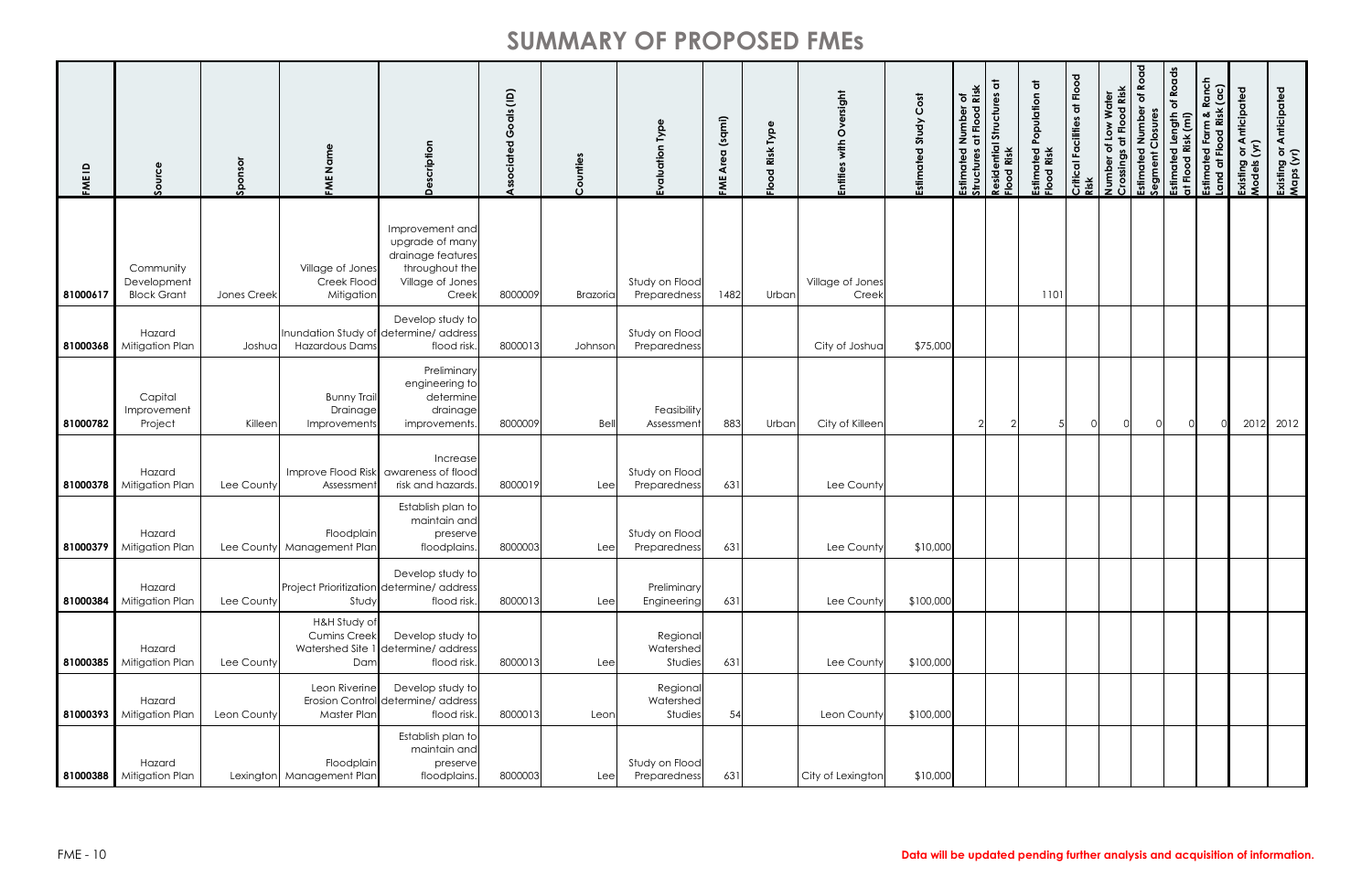| FME ID   | Source                                         | Sponsor     | Name<br>FME                                                    | cription<br>$\Omega$                                                                                   | als (ID)<br>ပ<br>$\overline{6}$<br>ciate | ountie<br>$\mathfrak{c}$ | <b>Type</b><br>Evaluation        | (sqmi)<br><b>Area</b><br>FME | Type<br>Risk<br>$\overline{\mathbf{g}}$<br>$\tilde{e}$ | with Oversight<br><b>Entities</b> | Cost<br>Estimated Study | Risk<br>৳<br>Flood<br>Number<br>ã<br>Estimated<br>Structures | ㅎ<br>Residential Structures<br>Flood Risk | Population at<br>Estimated I<br>Flood Risk | Critical Facilities at Flood<br>Risk | Number of Low Water<br>Crossings at Flood Risk<br>ssings | of Road<br>Estimated Number<br>Segment Closures<br>stimated<br>ய் ம | of Roads<br>Estimated Length<br>at Flood Risk (mi) | Ranch<br>(a)<br>nated Farm & R<br>I at Flood Risk (<br>Land<br>Estim | <b>J</b> or Anticipated<br>i (yr)<br>Existing<br>Models ( | Existing or Anticipated<br>Maps (yr) |
|----------|------------------------------------------------|-------------|----------------------------------------------------------------|--------------------------------------------------------------------------------------------------------|------------------------------------------|--------------------------|----------------------------------|------------------------------|--------------------------------------------------------|-----------------------------------|-------------------------|--------------------------------------------------------------|-------------------------------------------|--------------------------------------------|--------------------------------------|----------------------------------------------------------|---------------------------------------------------------------------|----------------------------------------------------|----------------------------------------------------------------------|-----------------------------------------------------------|--------------------------------------|
| 81000617 | Community<br>Development<br><b>Block Grant</b> | Jones Creek | Village of Jones<br>Creek Flood<br>Mitigation                  | Improvement and<br>upgrade of many<br>drainage features<br>throughout the<br>Village of Jones<br>Creek | 8000009                                  | <b>Brazoria</b>          | Study on Flood<br>Preparedness   | 1482                         | Urban                                                  | Village of Jones<br>Creek         |                         |                                                              |                                           | 1101                                       |                                      |                                                          |                                                                     |                                                    |                                                                      |                                                           |                                      |
|          | Hazard<br>81000368 Mitigation Plan             | Joshua      | Hazardous Dams                                                 | Develop study to<br>Inundation Study of determine/ address<br>flood risk.                              | 8000013                                  | Johnson                  | Study on Flood<br>Preparedness   |                              |                                                        | City of Joshua                    | \$75,000                |                                                              |                                           |                                            |                                      |                                                          |                                                                     |                                                    |                                                                      |                                                           |                                      |
| 81000782 | Capital<br>Improvement<br>Project              | Killeen     | <b>Bunny Trail</b><br>Drainage<br>Improvements                 | Preliminary<br>engineering to<br>determine<br>drainage<br>improvements                                 | 8000009                                  | Bell                     | Feasibility<br>Assessment        | 883                          | Urban                                                  | City of Killeen                   |                         |                                                              |                                           |                                            |                                      |                                                          |                                                                     |                                                    |                                                                      | 2012                                                      | 2012                                 |
|          | Hazard<br>81000378 Mitigation Plan             | Lee County  | Improve Flood Risk<br>Assessmen                                | Increase<br>awareness of flood<br>risk and hazards                                                     | 8000019                                  | Lee                      | Study on Flood<br>Preparedness   | 631                          |                                                        | Lee County                        |                         |                                                              |                                           |                                            |                                      |                                                          |                                                                     |                                                    |                                                                      |                                                           |                                      |
|          | Hazard<br>81000379 Mitigation Plan             |             | Floodplain<br>Lee County Management Plan                       | Establish plan to<br>maintain and<br>preserve<br>floodplains.                                          | 8000003                                  | Lee                      | Study on Flood<br>Preparedness   | 631                          |                                                        | Lee County                        | \$10,000                |                                                              |                                           |                                            |                                      |                                                          |                                                                     |                                                    |                                                                      |                                                           |                                      |
|          | Hazard<br>81000384 Mitigation Plan             | Lee County  | Study                                                          | Develop study to<br>Project Prioritization determine/address<br>flood risk.                            | 8000013                                  | Lee                      | Preliminary<br>Engineering       | 631                          |                                                        | Lee County                        | \$100,000               |                                                              |                                           |                                            |                                      |                                                          |                                                                     |                                                    |                                                                      |                                                           |                                      |
| 81000385 | Hazard<br><b>Mitigation Plan</b>               | Lee County  | H&H Study of<br><b>Cumins Creek</b><br>Watershed Site 1<br>Dam | Develop study to<br>determine/ address<br>flood risk.                                                  | 8000013                                  | Lee                      | Regional<br>Watershed<br>Studies | 631                          |                                                        | Lee County                        | \$100,000               |                                                              |                                           |                                            |                                      |                                                          |                                                                     |                                                    |                                                                      |                                                           |                                      |
|          | Hazard<br>81000393 Mitigation Plan             | Leon County | Leon Riverine<br><b>Erosion Control</b><br>Master Plan         | Develop study to<br>I determine/ address<br>flood risk.                                                | 8000013                                  | Leon                     | Regional<br>Watershed<br>Studies | 54                           |                                                        | Leon County                       | \$100,000               |                                                              |                                           |                                            |                                      |                                                          |                                                                     |                                                    |                                                                      |                                                           |                                      |
|          | Hazard<br>81000388 Mitigation Plan             |             | Floodplain<br>Lexington Management Plan                        | Establish plan to<br>maintain and<br>preserve<br>floodplains.                                          | 8000003                                  | Lee                      | Study on Flood<br>Preparedness   | 631                          |                                                        | City of Lexington                 | \$10,000                |                                                              |                                           |                                            |                                      |                                                          |                                                                     |                                                    |                                                                      |                                                           |                                      |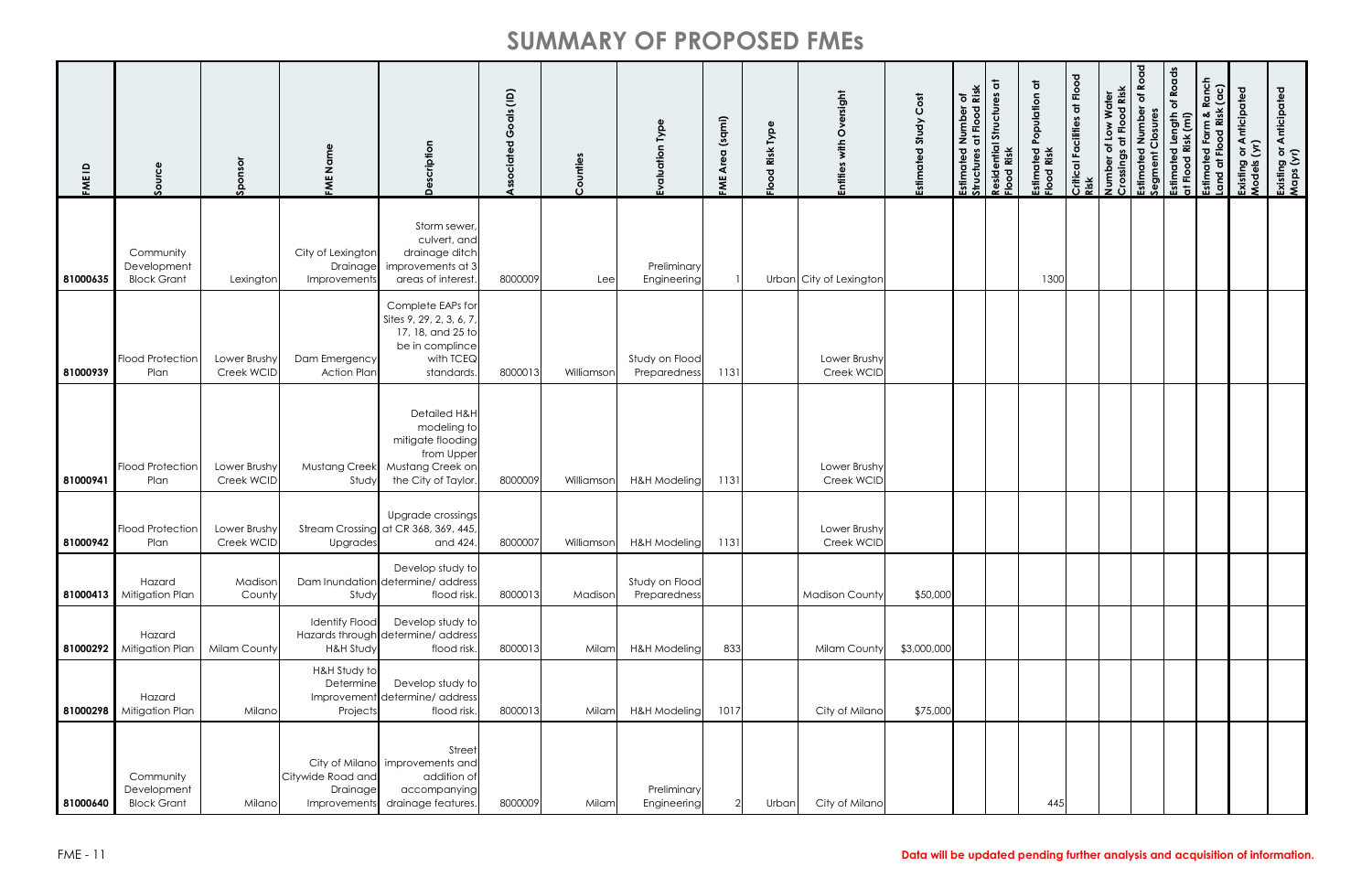| FME ID   | Source                                         | Sponsor                    | FME Name                                      | cription<br>စိ<br>Δ                                                                                              | $\widehat{\Xi}$<br>$\frac{1}{5}$<br>C<br>ट | Counti     | Type<br>Evaluation             | FME Area (sqmi) | Risk Type<br>Flood | Entities with Oversight    | Cost<br>Estimated Study | of<br>Risk<br>at Flood<br>nber<br>$\overline{z}$<br>ated<br>Estimated<br>Structures | Residential Structures at<br>Flood Risk | Estimated Population at<br>Flood Risk | Critical Facilities at Flood<br>Risk | Number of Low Water<br>Crossings at Flood Risk<br>ssings | Estimated Number of Road<br>Segment Closures | of Roads<br>Estimated Length (<br>at Flood Risk (mi) | Estimated Farm & Ranch<br>Land at Flood Risk (ac) | Existing or Anticipated<br>Models (yr) | Existing or Anticipated<br>Maps (yr) |
|----------|------------------------------------------------|----------------------------|-----------------------------------------------|------------------------------------------------------------------------------------------------------------------|--------------------------------------------|------------|--------------------------------|-----------------|--------------------|----------------------------|-------------------------|-------------------------------------------------------------------------------------|-----------------------------------------|---------------------------------------|--------------------------------------|----------------------------------------------------------|----------------------------------------------|------------------------------------------------------|---------------------------------------------------|----------------------------------------|--------------------------------------|
| 81000635 | Community<br>Development<br><b>Block Grant</b> | Lexington                  | City of Lexington<br>Drainage<br>Improvements | Storm sewer,<br>culvert, and<br>drainage ditch<br>improvements at 3<br>areas of interest                         | 8000009                                    | Lee        | Preliminary<br>Engineering     |                 |                    | Urban City of Lexington    |                         |                                                                                     |                                         | 1300                                  |                                      |                                                          |                                              |                                                      |                                                   |                                        |                                      |
| 81000939 | <b>Flood Protection</b><br>Plan                | Lower Brushy<br>Creek WCID | Dam Emergency<br><b>Action Plan</b>           | Complete EAPs for<br>Sites 9, 29, 2, 3, 6, 7,<br>17, 18, and 25 to<br>be in complince<br>with TCEQ<br>standards. | 8000013                                    | Williamson | Study on Flood<br>Preparedness | 1131            |                    | Lower Brushy<br>Creek WCID |                         |                                                                                     |                                         |                                       |                                      |                                                          |                                              |                                                      |                                                   |                                        |                                      |
| 81000941 | <b>Flood Protection</b><br>Plan                | Lower Brushy<br>Creek WCID | <b>Mustang Creek</b><br>Study                 | Detailed H&H<br>modeling to<br>mitigate flooding<br>from Upper<br>Mustang Creek on<br>the City of Taylor.        | 8000009                                    | Williamson | <b>H&amp;H Modeling</b>        | 1131            |                    | Lower Brushy<br>Creek WCID |                         |                                                                                     |                                         |                                       |                                      |                                                          |                                              |                                                      |                                                   |                                        |                                      |
| 81000942 | <b>Flood Protection</b><br>Plan                | Lower Brushy<br>Creek WCID | <b>Stream Crossing</b><br>Upgrades            | Upgrade crossings<br>at CR 368, 369, 445,<br>and 424.                                                            | 8000007                                    | Williamson | <b>H&amp;H Modeling</b>        | 1131            |                    | Lower Brushy<br>Creek WCID |                         |                                                                                     |                                         |                                       |                                      |                                                          |                                              |                                                      |                                                   |                                        |                                      |
|          | Hazard<br>81000413 Mitigation Plan             | Madison<br>County          | Study                                         | Develop study to<br>Dam Inundation determine/ address<br>flood risk.                                             | 8000013                                    | Madison    | Study on Flood<br>Preparedness |                 |                    | <b>Madison County</b>      | \$50,000                |                                                                                     |                                         |                                       |                                      |                                                          |                                              |                                                      |                                                   |                                        |                                      |
| 81000292 | Hazard<br>Mitigation Plan                      | Milam County               | <b>Identify Flood</b><br>H&H Study            | Develop study to<br>Hazards through determine/ address<br>flood risk.                                            | 8000013                                    | Milam      | H&H Modeling                   | 833             |                    | Milam County               | \$3,000,000             |                                                                                     |                                         |                                       |                                      |                                                          |                                              |                                                      |                                                   |                                        |                                      |
|          | Hazard<br>81000298 Mitigation Plan             | Milano                     | H&H Study to<br>Determine<br>Projects         | Develop study to<br>Improvement determine/ address<br>flood risk.                                                | 8000013                                    | Milam      | H&H Modeling                   | 1017            |                    | City of Milano             | \$75,000                |                                                                                     |                                         |                                       |                                      |                                                          |                                              |                                                      |                                                   |                                        |                                      |
| 81000640 | Community<br>Development<br><b>Block Grant</b> | Milano                     | Citywide Road and<br>Drainage<br>Improvements | Street'<br>City of Milano improvements and<br>addition of<br>accompanying<br>drainage features.                  | 8000009                                    | Milam      | Preliminary<br>Engineering     |                 | Urban              | City of Milano             |                         |                                                                                     |                                         | 445                                   |                                      |                                                          |                                              |                                                      |                                                   |                                        |                                      |

#### FME - 11 **Data will be updated pending further analysis and acquisition of information.**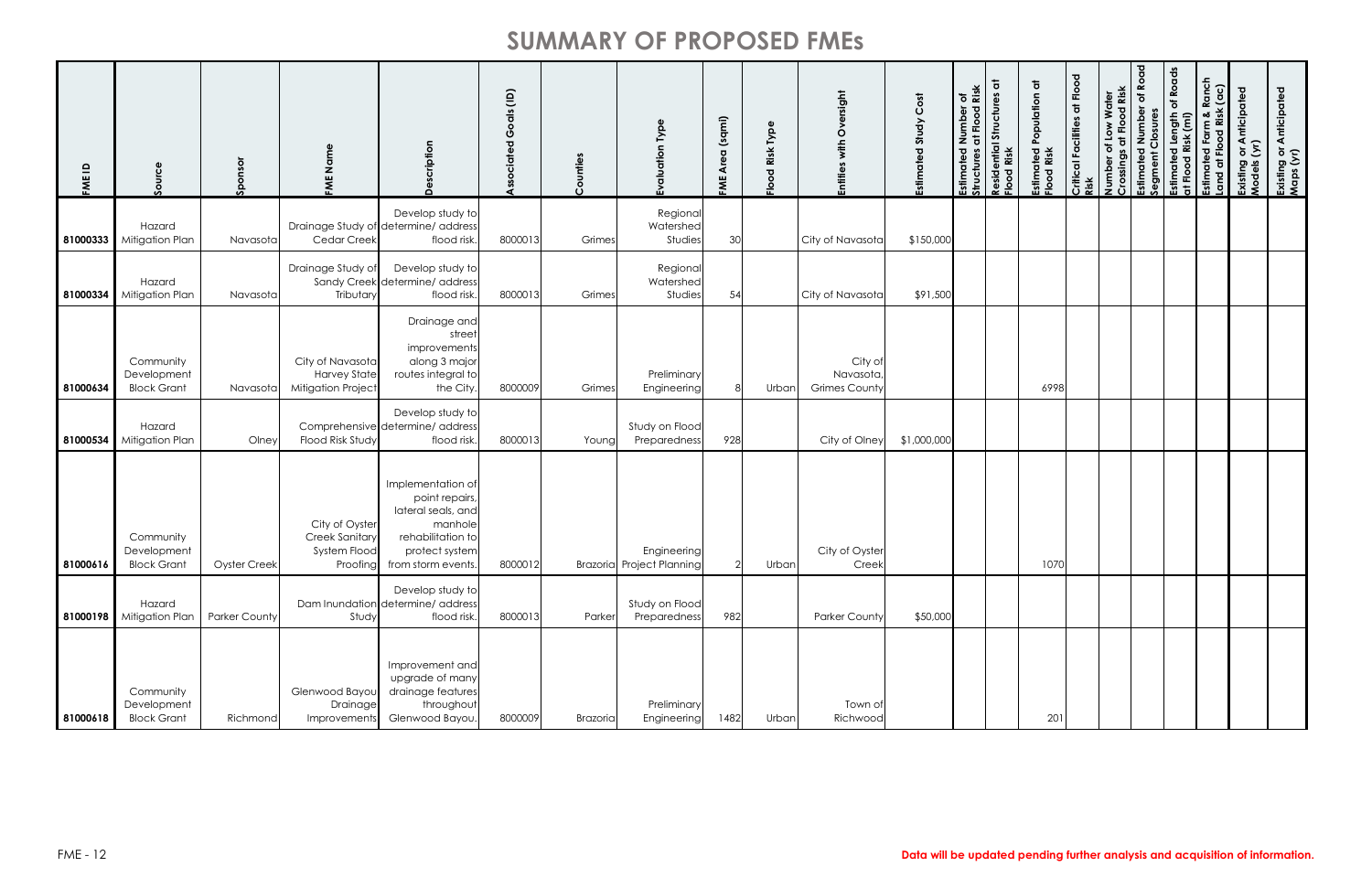| FME ID   | Source                                         | Sponsor              | FME                                                                  | ႅ<br>Δ                                                                                                                            | $\widehat{\Xi}$ | $\overline{5}$<br>$\Omega$ | Type<br>Evaluation                              | (sqmi)<br>Area<br>FME | Type<br>Risk<br>$\overline{8}$<br>은 | ersight<br>ò<br>with<br>Entities             | Estimated Study Cost | of<br>Risk<br>at Flood<br>$\Omega$<br>Estimatec<br>Structures | $\overline{5}$<br>Residential Structures<br>Flood Risk | Population at<br>Estimated<br>Flood Risk | Critical Facilities at Flood<br>Risk | Water<br>od Risk<br>Number of Low V<br>Crossings at Floc | of Road<br><b>1 Number</b><br>Closures<br>stimated | of Roads<br>Estimated Length<br>at Flood Risk (mi) | Ranch<br>(ac)<br>nated Farm & R<br>  at Flood Risk (<br>Land | <b>j</b> or Anticipated<br>; (yr)<br>Existing<br>Models | Existing or Anticipated<br>Maps (yr) |
|----------|------------------------------------------------|----------------------|----------------------------------------------------------------------|-----------------------------------------------------------------------------------------------------------------------------------|-----------------|----------------------------|-------------------------------------------------|-----------------------|-------------------------------------|----------------------------------------------|----------------------|---------------------------------------------------------------|--------------------------------------------------------|------------------------------------------|--------------------------------------|----------------------------------------------------------|----------------------------------------------------|----------------------------------------------------|--------------------------------------------------------------|---------------------------------------------------------|--------------------------------------|
| 81000333 | Hazard<br>Mitigation Plan                      | Navasota             | <b>Cedar Creek</b>                                                   | Develop study to<br>Drainage Study of determine/ address<br>flood risk.                                                           | 8000013         | Grimes                     | Regional<br>Watershed<br>Studies                | 30                    |                                     | City of Navasota                             | \$150,000            |                                                               |                                                        |                                          |                                      |                                                          |                                                    |                                                    |                                                              |                                                         |                                      |
|          | Hazard<br>81000334 Mitigation Plan             | Navasota             | Drainage Study of<br>Tributary                                       | Develop study to<br>Sandy Creek determine/ address<br>flood risk.                                                                 | 8000013         | Grimes                     | Regional<br>Watershed<br>Studies                | 54                    |                                     | City of Navasota                             | \$91,500             |                                                               |                                                        |                                          |                                      |                                                          |                                                    |                                                    |                                                              |                                                         |                                      |
| 81000634 | Community<br>Development<br><b>Block Grant</b> | Navasota             | City of Navasota<br><b>Harvey State</b><br><b>Mitigation Project</b> | Drainage and<br>street<br>improvements<br>along 3 major<br>routes integral to<br>the City.                                        | 8000009         | Grimes                     | Preliminary<br>Engineering                      |                       | Urban                               | City of<br>Navasota,<br><b>Grimes County</b> |                      |                                                               |                                                        | 6998                                     |                                      |                                                          |                                                    |                                                    |                                                              |                                                         |                                      |
| 81000534 | Hazard<br>Mitigation Plan                      | Olney                | Flood Risk Study                                                     | Develop study to<br>Comprehensive determine/ address<br>flood risk.                                                               | 8000013         | Young                      | Study on Flood<br>Preparedness                  | 928                   |                                     | City of Olney                                | \$1,000,000          |                                                               |                                                        |                                          |                                      |                                                          |                                                    |                                                    |                                                              |                                                         |                                      |
| 81000616 | Community<br>Development<br><b>Block Grant</b> | Oyster Creek         | City of Oyster<br>Creek Sanitary<br>System Flood<br>Proofing         | Implementation of<br>point repairs,<br>lateral seals, and<br>manhole<br>rehabilitation to<br>protect system<br>from storm events. | 8000012         |                            | Engineering<br><b>Brazoria</b> Project Planning |                       | Urban                               | City of Oyster<br>Creek                      |                      |                                                               |                                                        | 1070                                     |                                      |                                                          |                                                    |                                                    |                                                              |                                                         |                                      |
|          | Hazard<br>81000198 Mitigation Plan             | <b>Parker County</b> | Study                                                                | Develop study to<br>Dam Inundation determine/ address<br>flood risk.                                                              | 8000013         | Parker                     | Study on Flood<br>Preparedness                  | 982                   |                                     | <b>Parker County</b>                         | \$50,000             |                                                               |                                                        |                                          |                                      |                                                          |                                                    |                                                    |                                                              |                                                         |                                      |
| 81000618 | Community<br>Development<br><b>Block Grant</b> | <b>Richmond</b>      | Glenwood Bayou<br>Drainage<br>Improvements                           | Improvement and<br>upgrade of many<br>drainage features<br>throughout<br>Glenwood Bayou.                                          | 8000009         | Brazoria                   | Preliminary<br>Engineering                      | 1482                  | Urban                               | Town of<br>Richwood                          |                      |                                                               |                                                        | 201                                      |                                      |                                                          |                                                    |                                                    |                                                              |                                                         |                                      |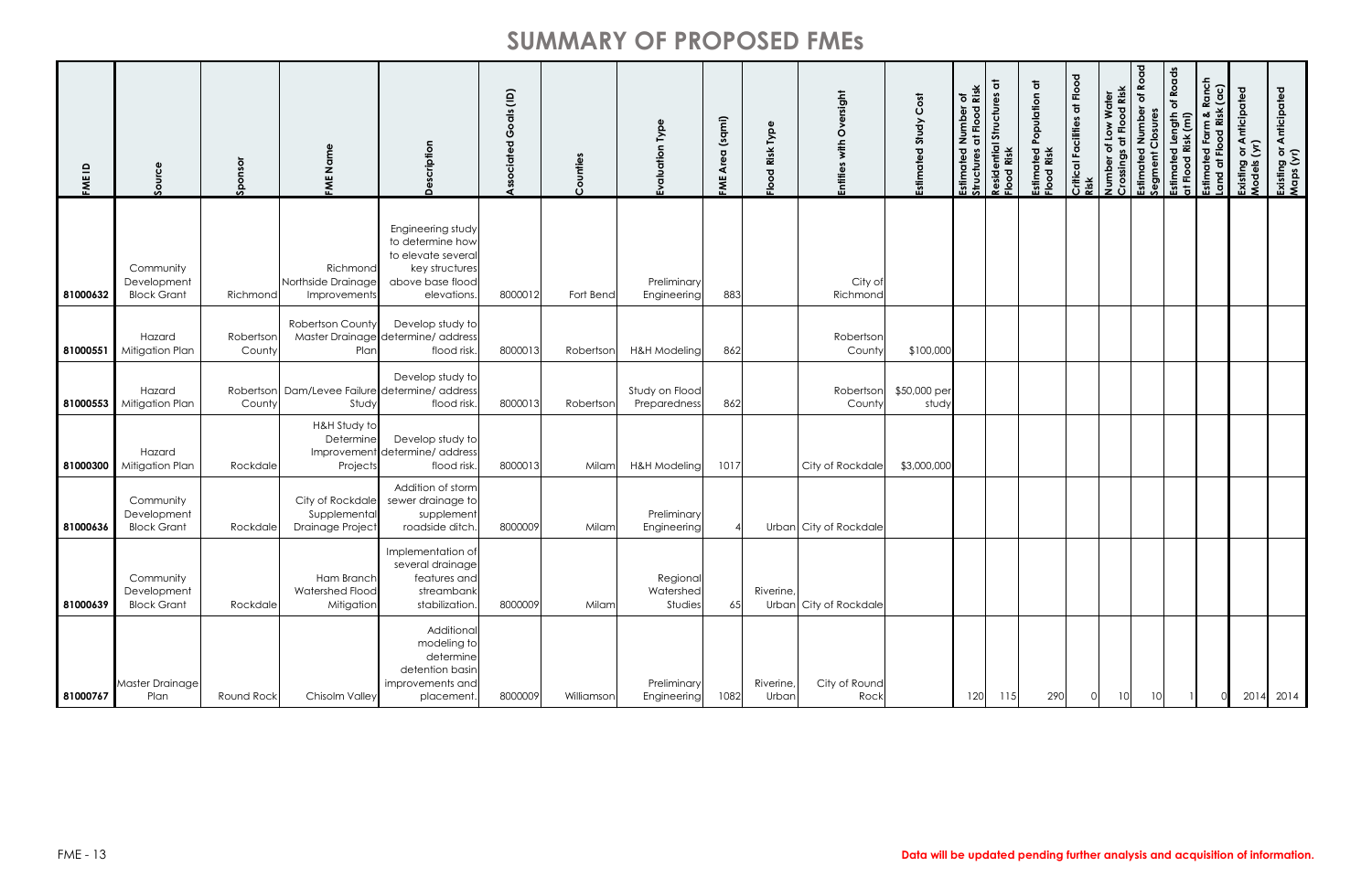| $\mathbf{a}$<br>FME | Source                                         | Sponsor             | Nam<br>FME                                              | δ<br>criptio<br>စိ<br>$\Omega$                                                                                   | $\widehat{\Xi}$<br>$\frac{2}{9}$<br>C<br>ᅐ | $\overline{5}$<br>$\mathfrak{c}$ | <b>Type</b><br>Evaluation               | (sqmi)<br>Area<br>FME | Type<br>Risk<br>$\overline{8}$<br>운 | ersight<br>ŏ<br>with<br>Entities | Cost<br>Study<br>Estimated | of<br>Risk<br>at Flood<br>Number<br>Estimated<br>Structures | ㅎ<br>ပ္မိ<br>Structur<br>Residential !<br>Flood Risk | Population at<br>Estimated I<br>Flood Risk | Critical Facilities at Flood<br>Risk | of Low Water<br>at Flood Risk<br>$\mathbf{\tilde{o}}$<br>ssings<br>Number<br>Crossings | Road<br>ð<br>d Number<br>Closures<br>stimated<br>egment | of Roads<br>Estimated Length<br>at Flood Risk (mi) | anch<br>(a <sub>c</sub> )<br>iated Farm & R<br>  at Flood Risk (<br>ated<br>Land<br>Estim | or Anticipated<br>  (yr)<br>xisting<br>Existing<br>Models | Anticipated<br>Existing or<br>Maps (yr) |
|---------------------|------------------------------------------------|---------------------|---------------------------------------------------------|------------------------------------------------------------------------------------------------------------------|--------------------------------------------|----------------------------------|-----------------------------------------|-----------------------|-------------------------------------|----------------------------------|----------------------------|-------------------------------------------------------------|------------------------------------------------------|--------------------------------------------|--------------------------------------|----------------------------------------------------------------------------------------|---------------------------------------------------------|----------------------------------------------------|-------------------------------------------------------------------------------------------|-----------------------------------------------------------|-----------------------------------------|
| 81000632            | Community<br>Development<br><b>Block Grant</b> | Richmond            | Richmond<br>Northside Drainage<br>Improvements          | Engineering study<br>to determine how<br>to elevate several<br>key structures<br>above base flood<br>elevations. | 8000012                                    | Fort Bend                        | Preliminary<br>Engineering              | 883                   |                                     | City of<br>Richmond              |                            |                                                             |                                                      |                                            |                                      |                                                                                        |                                                         |                                                    |                                                                                           |                                                           |                                         |
| 81000551            | Hazard<br>Mitigation Plan                      | Robertson<br>County | Robertson County<br>Plan                                | Develop study to<br>Master Drainage determine/ address<br>flood risk.                                            | 8000013                                    | Robertson                        | H&H Modeling                            | 862                   |                                     | Robertson<br>County              | \$100,000                  |                                                             |                                                      |                                            |                                      |                                                                                        |                                                         |                                                    |                                                                                           |                                                           |                                         |
| 81000553            | Hazard<br>Mitigation Plan                      | County              | Robertson Dam/Levee Failure determine/ address<br>Study | Develop study to<br>flood risk.                                                                                  | 8000013                                    | Robertson                        | Study on Flood<br>Preparedness          | 862                   |                                     | Robertson<br>County              | \$50,000 per<br>study      |                                                             |                                                      |                                            |                                      |                                                                                        |                                                         |                                                    |                                                                                           |                                                           |                                         |
| 81000300            | Hazard<br>Mitigation Plan                      | Rockdale            | H&H Study to<br>Determine<br>Improvement<br>Projects    | Develop study to<br>determine/ address<br>flood risk.                                                            | 8000013                                    | Milam                            | H&H Modeling                            | 1017                  |                                     | City of Rockdale                 | \$3,000,000                |                                                             |                                                      |                                            |                                      |                                                                                        |                                                         |                                                    |                                                                                           |                                                           |                                         |
| 81000636            | Community<br>Development<br><b>Block Grant</b> | Rockdale            | City of Rockdale<br>Supplemental<br>Drainage Project    | Addition of storm<br>sewer drainage to<br>supplement<br>roadside ditch                                           | 8000009                                    | Milam                            | Preliminary <sup>1</sup><br>Engineering |                       |                                     | Urban City of Rockdale           |                            |                                                             |                                                      |                                            |                                      |                                                                                        |                                                         |                                                    |                                                                                           |                                                           |                                         |
| 81000639            | Community<br>Development<br><b>Block Grant</b> | Rockdale            | Ham Branch<br><b>Watershed Flood</b><br>Mitigation      | Implementation of<br>several drainage<br>features and<br>streambank<br>stabilization.                            | 8000009                                    | Milam                            | Regional<br>Watershed<br>Studies        | 65                    | Riverine,                           | Urban City of Rockdale           |                            |                                                             |                                                      |                                            |                                      |                                                                                        |                                                         |                                                    |                                                                                           |                                                           |                                         |
| 81000767            | Master Drainage<br>Plan                        | Round Rock          | <b>Chisolm Valley</b>                                   | Additional<br>modeling to<br>determine<br>detention basin<br>improvements and<br>placement.                      | 8000009                                    | Williamson                       | Preliminary<br>Engineering              | 1082                  | Riverine,<br>Urban                  | City of Round<br>Rock            |                            | 120                                                         | 115                                                  | 290                                        |                                      |                                                                                        |                                                         |                                                    |                                                                                           |                                                           | 2014 2014                               |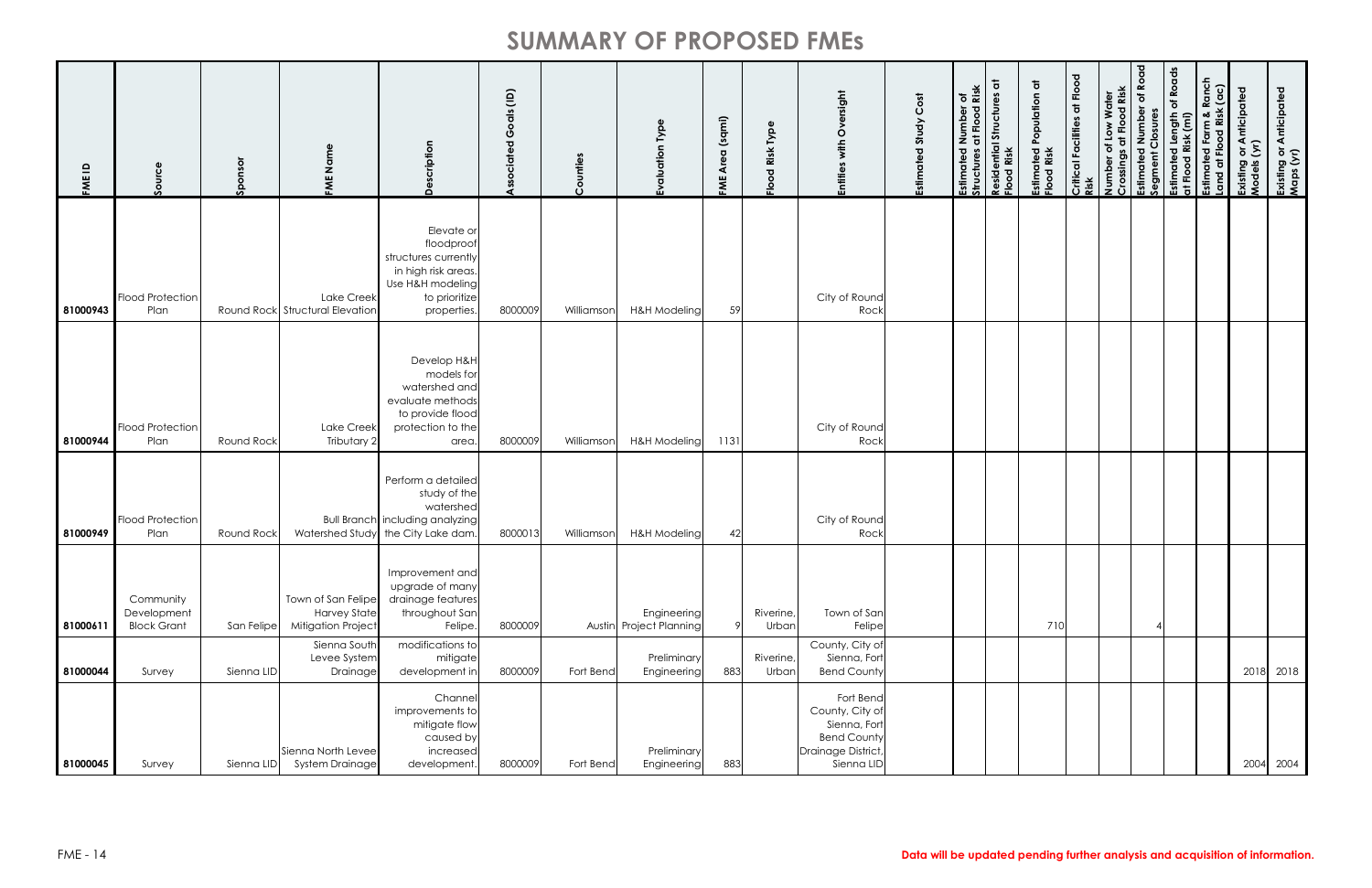| <b>FME ID</b> | Source                                         | Sponsor    | FME Name                                                                               | Description                                                                                                                     | als (ID)<br>$\circ$<br>ပ<br>$\overline{\mathbf{c}}$ | Counties   | Type<br>Evaluation                     | Area (sqmi)<br>FME | <b>Flood Risk Type</b> | with Oversight<br><b>Entities</b>                                                                      | Cost<br>Estimated Study | Number of<br>at Flood Risk<br>$\vec{z}$<br>iated<br>Estimated<br>Structures | $\overline{5}$<br>Residential Structures<br>Flood Risk | Estimated Population at<br>Flood Risk | Critical Facilities at Flood<br>Risk | Number of Low Water<br>Crossings at Flood Risk | Estimated Number of Road<br>Segment Closures | of Roads<br>Estimated Length ‹<br>at Flood Risk (mi) | Ranch<br>(a <sub>c</sub> )<br>Estimated Farm & I<br>Land at Flood Risk | Existing or Anticipated<br>Models (yr) | Existing or Anticipated<br>Maps (yr) |
|---------------|------------------------------------------------|------------|----------------------------------------------------------------------------------------|---------------------------------------------------------------------------------------------------------------------------------|-----------------------------------------------------|------------|----------------------------------------|--------------------|------------------------|--------------------------------------------------------------------------------------------------------|-------------------------|-----------------------------------------------------------------------------|--------------------------------------------------------|---------------------------------------|--------------------------------------|------------------------------------------------|----------------------------------------------|------------------------------------------------------|------------------------------------------------------------------------|----------------------------------------|--------------------------------------|
| 81000943      | <b>Flood Protection</b><br>Plan                |            | Lake Creek<br>Round Rock Structural Elevation                                          | Elevate or<br>floodproof<br>structures currently<br>in high risk areas.<br>Use H&H modeling<br>to prioritize<br>properties.     | 8000009                                             | Williamson | <b>H&amp;H Modeling</b>                | 59                 |                        | City of Round<br>Rock                                                                                  |                         |                                                                             |                                                        |                                       |                                      |                                                |                                              |                                                      |                                                                        |                                        |                                      |
| 81000944      | Flood Protection<br>Plan                       | Round Rock | Lake Creek<br>Tributary 2                                                              | Develop H&H<br>models for<br>watershed and<br>evaluate methods<br>to provide flood<br>protection to the<br>area.                | 8000009                                             | Williamson | <b>H&amp;H Modeling</b>                | 1131               |                        | City of Round<br>Rock                                                                                  |                         |                                                                             |                                                        |                                       |                                      |                                                |                                              |                                                      |                                                                        |                                        |                                      |
| 81000949      | Flood Protection<br>Plan                       | Round Rock |                                                                                        | Perform a detailed<br>study of the<br>watershed<br><b>Bull Branch including analyzing</b><br>Watershed Study the City Lake dam. | 8000013                                             | Williamson | <b>H&amp;H Modeling</b>                | 42                 |                        | City of Round<br>Rock                                                                                  |                         |                                                                             |                                                        |                                       |                                      |                                                |                                              |                                                      |                                                                        |                                        |                                      |
| 81000611      | Community<br>Development<br><b>Block Grant</b> | San Felipe | Town of San Felipe<br><b>Harvey State</b><br><b>Mitigation Project</b><br>Sienna South | Improvement and<br>upgrade of many<br>drainage features<br>throughout San<br>Felipe.<br>modifications to                        | 8000009                                             |            | Engineering<br>Austin Project Planning |                    | Riverine,<br>Urban     | Town of San<br>Felipe<br>County, City of                                                               |                         |                                                                             |                                                        | 710                                   |                                      |                                                |                                              |                                                      |                                                                        |                                        |                                      |
| 81000044      | Survey                                         | Sienna LID | Levee System<br>Drainage                                                               | mitigate<br>development in                                                                                                      | 8000009                                             | Fort Bend  | Preliminary<br>Engineering             | 883                | Riverine,<br>Urban     | Sienna, Fort<br><b>Bend County</b>                                                                     |                         |                                                                             |                                                        |                                       |                                      |                                                |                                              |                                                      |                                                                        |                                        | 2018 2018                            |
| 81000045      | Survey                                         | Sienna LID | Sienna North Levee<br><b>System Drainage</b>                                           | Channel<br>improvements to<br>mitigate flow<br>caused by<br>increased<br>development.                                           | 8000009                                             | Fort Bend  | Preliminary<br>Engineering             | 883                |                        | Fort Bend<br>County, City of<br>Sienna, Fort<br><b>Bend County</b><br>Drainage District,<br>Sienna LID |                         |                                                                             |                                                        |                                       |                                      |                                                |                                              |                                                      |                                                                        | 2004                                   | 2004                                 |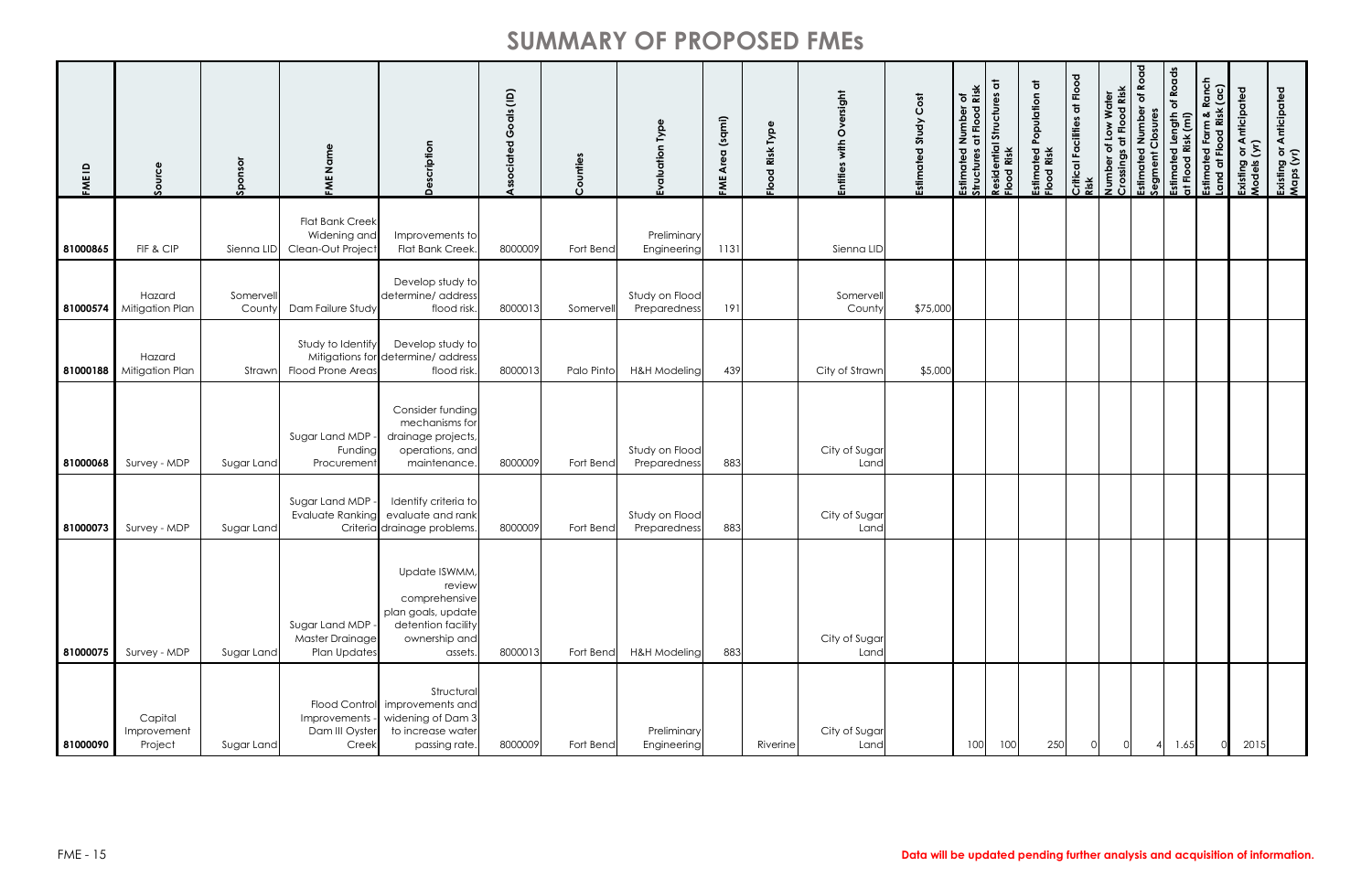| FME ID   | Source                             | Sponsor             | Name<br><b>EME</b>                                              | cription<br>č<br>$\Omega$                                                                                        | $\widehat{\Xi}$<br>$\frac{1}{5}$<br>O<br>τ | $\overline{5}$<br>$\mathbf{r}$ | Type<br>Evaluation                | Area (sqmi)<br>FME | Type<br>Risk<br>$\overline{8}$<br>$\circ$<br>$\overline{\mathbf{u}}$ | ersight<br>$\check{\delta}$<br>with<br>Entities | Cost<br>Estimated Study | of<br>Risk<br>at Flood<br>ber<br>Num<br>Estimated<br>Structures | $\overline{\sigma}$<br>Residential Structures<br>Flood Risk | Population at<br>Estimated<br>Flood Risk | Critical Facilities at Flood<br>Risk | Number of Low Water<br>Crossings at Flood Risk | Road<br>$\overline{\sigma}$<br>Estimated Number<br>Segment Closures | of Roads<br>Estimated Length c<br>at Flood Risk (mi) | Ranch<br>(ac)<br>Estimated Farm & I<br>Land at Flood Risk<br>Estimated | <b>g</b> or Anticipated<br>i (yr)<br>Existing<br>Models | Existing or Anticipated<br>Maps (yr) |
|----------|------------------------------------|---------------------|-----------------------------------------------------------------|------------------------------------------------------------------------------------------------------------------|--------------------------------------------|--------------------------------|-----------------------------------|--------------------|----------------------------------------------------------------------|-------------------------------------------------|-------------------------|-----------------------------------------------------------------|-------------------------------------------------------------|------------------------------------------|--------------------------------------|------------------------------------------------|---------------------------------------------------------------------|------------------------------------------------------|------------------------------------------------------------------------|---------------------------------------------------------|--------------------------------------|
| 81000865 | FIF & CIP                          | Sienna LID          | <b>Flat Bank Creek</b><br>Widening and<br>Clean-Out Project     | Improvements to<br><b>Flat Bank Creek</b>                                                                        | 8000009                                    | Fort Bend                      | Preliminary<br>Engineering        | 1131               |                                                                      | Sienna LID                                      |                         |                                                                 |                                                             |                                          |                                      |                                                |                                                                     |                                                      |                                                                        |                                                         |                                      |
|          | Hazard<br>81000574 Mitigation Plan | Somervell<br>County | Dam Failure Study                                               | Develop study to<br>determine/ address<br>flood risk.                                                            | 8000013                                    | Somervell                      | Study on Flood<br>Preparedness    | 191                |                                                                      | Somervell<br>County                             | \$75,000                |                                                                 |                                                             |                                          |                                      |                                                |                                                                     |                                                      |                                                                        |                                                         |                                      |
| 81000188 | Hazard<br>Mitigation Plan          | Strawn              | Study to Identify<br><b>Flood Prone Areas</b>                   | Develop study to<br>Mitigations for determine/ address<br>flood risk.                                            | 8000013                                    | Palo Pinto                     | <b>H&amp;H Modeling</b>           | 439                |                                                                      | City of Strawn                                  | \$5,000                 |                                                                 |                                                             |                                          |                                      |                                                |                                                                     |                                                      |                                                                        |                                                         |                                      |
| 81000068 | Survey - MDP                       | Sugar Land          | Sugar Land MDP<br>Funding<br>Procurement                        | Consider funding<br>mechanisms for<br>drainage projects,<br>operations, and<br>maintenance.                      | 8000009                                    | Fort Bend                      | Study on Flood<br>Preparedness    | 883                |                                                                      | City of Sugar<br>Land                           |                         |                                                                 |                                                             |                                          |                                      |                                                |                                                                     |                                                      |                                                                        |                                                         |                                      |
| 81000073 | Survey - MDP                       | Sugar Land          | Sugar Land MDP<br>Evaluate Ranking                              | Identify criteria to<br>evaluate and rank<br>Criteria drainage problems                                          | 8000009                                    | Fort Bend                      | Study on Flood<br>Preparedness    | 883                |                                                                      | City of Sugar<br>Land                           |                         |                                                                 |                                                             |                                          |                                      |                                                |                                                                     |                                                      |                                                                        |                                                         |                                      |
| 81000075 | Survey - MDP                       | Sugar Land          | Sugar Land MDP<br><b>Master Drainage</b><br><b>Plan Updates</b> | Update ISWMM,<br>review<br>comprehensive<br>plan goals, update<br>detention facility<br>ownership and<br>assets. | 8000013                                    | Fort Bend                      | H&H Modeling                      | 883                |                                                                      | City of Sugar<br>Land                           |                         |                                                                 |                                                             |                                          |                                      |                                                |                                                                     |                                                      |                                                                        |                                                         |                                      |
| 81000090 | Capital<br>Improvement<br>Project  | Sugar Land          | Improvements -<br>Dam III Oyster<br>Creek                       | Structural<br>Flood Control improvements and<br>widening of Dam 3<br>to increase water<br>passing rate.          | 8000009                                    | Fort Bend                      | Preliminary<br><b>Engineering</b> |                    | Riverine                                                             | City of Sugar<br>Land                           |                         | 100                                                             | 100                                                         | 250                                      |                                      |                                                |                                                                     | 1.65                                                 |                                                                        | 2015                                                    |                                      |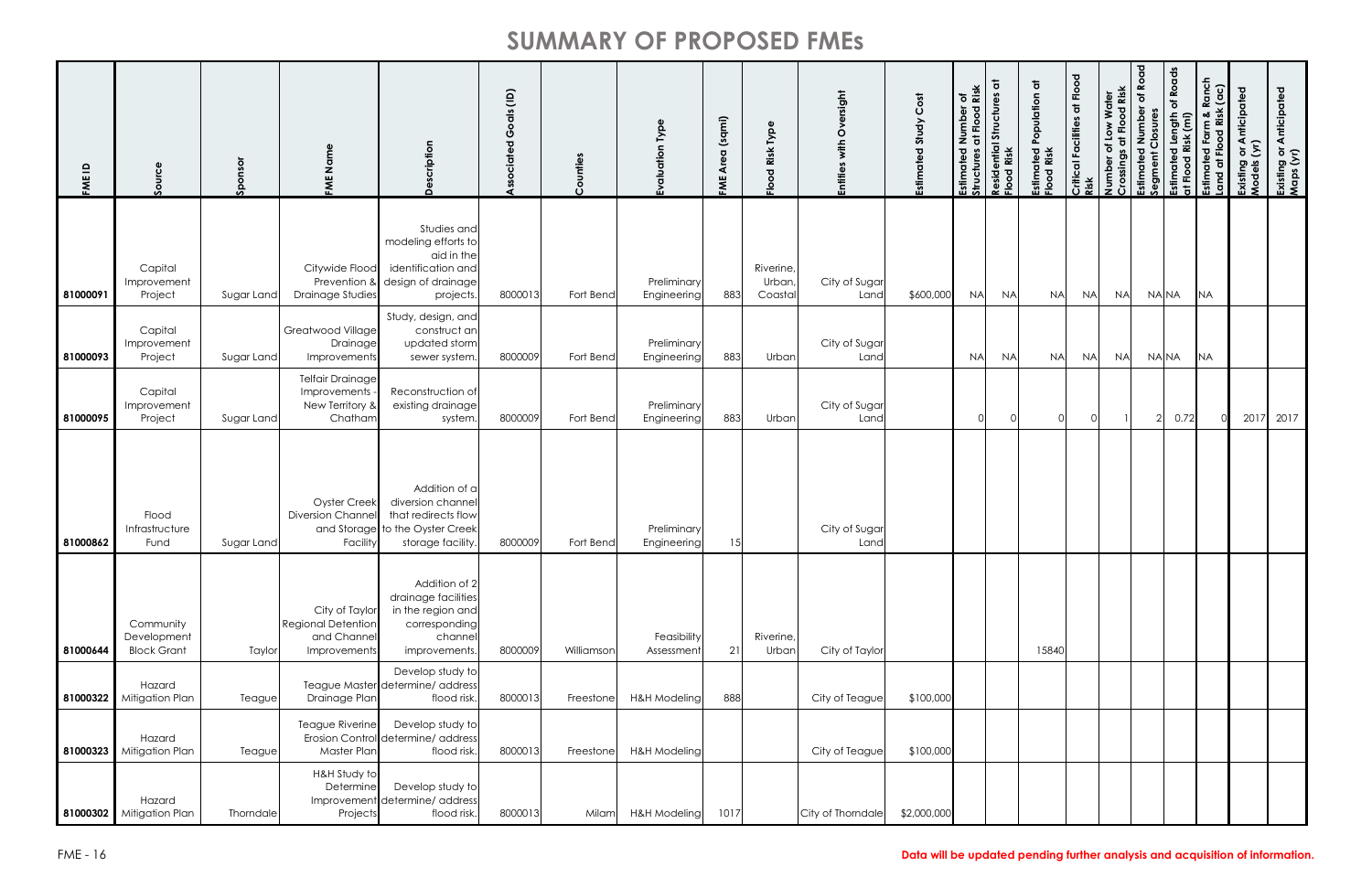| <b>FME ID</b> | Source                                         | Sponsor    | Name<br>N<br>FME                                                           | δ<br><b>Cripti</b><br>$\Omega$                                                                                         | $\widehat{\Xi}$<br>$\frac{2}{9}$<br>C | $\circ$<br>$\tilde{C}$ | Type<br>Evaluation         | (sqmi)<br>Area<br>FME | Type<br>Risk<br>$\overline{8}$<br>$\frac{6}{5}$ | Oversight<br>with<br>Entities | Cost<br>Study<br>Estimated | of<br>Risk<br>Flood<br>Number<br>$\overline{a}$<br>Estimated<br>Structures | Residential Structures at<br>Flood Risk | Population at<br>Estimated I<br>Flood Risk | Critical Facilities at Flood<br>Risk | Water<br>od Risk<br>Low<br>$\overline{a}$<br>৳<br>Number<br>Crossina | Road<br>৳<br>ō<br>Numb<br>gment Closur<br>timater<br>ပ္တ | Roads<br>$\overline{\sigma}$<br>Estimated Length<br>at Flood Risk (mi) | Ranch<br>: (ac)<br>ated Farm & R<br>  at Flood Risk  <br>iated<br>Land<br>Estim | <b>J</b> or Anticipated<br>i (yr)<br>Existing<br>Models | Existing or Anticipated<br>Maps (yr) |
|---------------|------------------------------------------------|------------|----------------------------------------------------------------------------|------------------------------------------------------------------------------------------------------------------------|---------------------------------------|------------------------|----------------------------|-----------------------|-------------------------------------------------|-------------------------------|----------------------------|----------------------------------------------------------------------------|-----------------------------------------|--------------------------------------------|--------------------------------------|----------------------------------------------------------------------|----------------------------------------------------------|------------------------------------------------------------------------|---------------------------------------------------------------------------------|---------------------------------------------------------|--------------------------------------|
| 81000091      | Capital<br>Improvement<br>Project              | Sugar Land | Citywide Flood<br><b>Drainage Studies</b>                                  | Studies and<br>modeling efforts to<br>aid in the<br>identification and<br>Prevention & design of drainage<br>projects. | 8000013                               | Fort Bend              | Preliminary<br>Engineering | 883                   | Riverine,<br><b>Urban</b><br>Coastal            | City of Sugar<br>Land         | \$600,000                  | <b>NA</b>                                                                  | <b>NA</b>                               | <b>NA</b>                                  | <b>NA</b>                            | <b>NA</b>                                                            |                                                          | NA NA                                                                  | <b>NA</b>                                                                       |                                                         |                                      |
| 81000093      | Capital<br>Improvement<br>Project              | Sugar Land | Greatwood Village<br><b>Drainage</b><br>Improvements                       | Study, design, and<br>construct an<br>updated storm<br>sewer system.                                                   | 8000009                               | Fort Bend              | Preliminary<br>Engineering | 883                   | Urban                                           | City of Sugar<br>Land         |                            | <b>NA</b>                                                                  | <b>NA</b>                               | <b>NA</b>                                  | <b>NA</b>                            | <b>NA</b>                                                            |                                                          | NA NA                                                                  | <b>NA</b>                                                                       |                                                         |                                      |
| 81000095      | Capital<br>Improvement<br>Project              | Sugar Land | Telfair Drainage<br>Improvements<br>New Territory &<br>Chatham             | Reconstruction of<br>existing drainage<br>system.                                                                      | 8000009                               | Fort Bend              | Preliminary<br>Engineering | 883                   | Urban                                           | City of Sugar<br>Land         |                            |                                                                            |                                         |                                            | ∩                                    |                                                                      |                                                          | 0.72                                                                   |                                                                                 |                                                         | 2017 2017                            |
| 81000862      | Flood<br>Infrastructure<br>Fund                | Sugar Land | <b>Oyster Creek</b><br><b>Diversion Channel</b><br>Facility                | Addition of a<br>diversion channel<br>that redirects flow<br>and Storage to the Oyster Creek<br>storage facility       | 8000009                               | Fort Bend              | Preliminary<br>Engineering | 15                    |                                                 | City of Sugar<br>Land         |                            |                                                                            |                                         |                                            |                                      |                                                                      |                                                          |                                                                        |                                                                                 |                                                         |                                      |
| 81000644      | Community<br>Development<br><b>Block Grant</b> | Taylor     | City of Taylor<br><b>Regional Detention</b><br>and Channel<br>Improvements | Addition of 2<br>drainage facilities<br>in the region and<br>corresponding<br>channel<br>improvements.                 | 8000009                               | Williamson             | Feasibility<br>Assessment  | 21                    | Riverine,<br>Urban                              | City of Taylor                |                            |                                                                            |                                         | 15840                                      |                                      |                                                                      |                                                          |                                                                        |                                                                                 |                                                         |                                      |
| 81000322      | Hazard<br>Mitigation Plan                      | Teague     | Drainage Plan                                                              | Develop study to<br>Teague Master determine/ address<br>flood risk.                                                    | 8000013                               | Freestone              | H&H Modeling               | 888                   |                                                 | City of Teague                | \$100,000                  |                                                                            |                                         |                                            |                                      |                                                                      |                                                          |                                                                        |                                                                                 |                                                         |                                      |
| 81000323      | Hazard<br>Mitigation Plan                      | Teague     | Teague Riverine<br>Master Plan                                             | Develop study to<br>Erosion Control determine/ address<br>flood risk.                                                  | 8000013                               | Freestone              | H&H Modeling               |                       |                                                 | City of Teague                | \$100,000                  |                                                                            |                                         |                                            |                                      |                                                                      |                                                          |                                                                        |                                                                                 |                                                         |                                      |
|               | Hazard<br>81000302 Mitigation Plan             | Thorndale  | H&H Study to<br>Determine<br>Projects                                      | Develop study to<br>Improvement determine/ address<br>flood risk.                                                      | 8000013                               | Milam                  | <b>H&amp;H Modeling</b>    | 1017                  |                                                 | City of Thorndale             | \$2,000,000                |                                                                            |                                         |                                            |                                      |                                                                      |                                                          |                                                                        |                                                                                 |                                                         |                                      |

#### FME - 16 **Data will be updated pending further analysis and acquisition of information.**